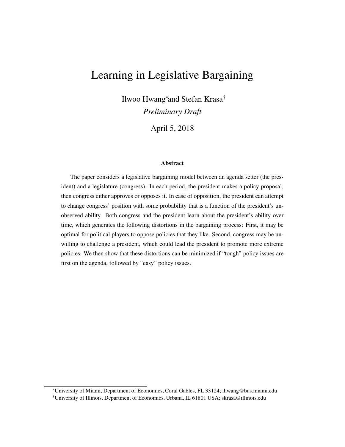# Learning in Legislative Bargaining

Ilwoo Hwang<sup>∗</sup> and Stefan Krasa† *Preliminary Draft*

April 5, 2018

#### **Abstract**

The paper considers a legislative bargaining model between an agenda setter (the president) and a legislature (congress). In each period, the president makes a policy proposal, then congress either approves or opposes it. In case of opposition, the president can attempt to change congress' position with some probability that is a function of the president's unobserved ability. Both congress and the president learn about the president's ability over time, which generates the following distortions in the bargaining process: First, it may be optimal for political players to oppose policies that they like. Second, congress may be unwilling to challenge a president, which could lead the president to promote more extreme policies. We then show that these distortions can be minimized if "tough" policy issues are first on the agenda, followed by "easy" policy issues.

<sup>∗</sup>University of Miami, Department of Economics, Coral Gables, FL 33124; ihwang@bus.miami.edu

<sup>†</sup>University of Illinois, Department of Economics, Urbana, IL 61801 USA; skrasa@illinois.edu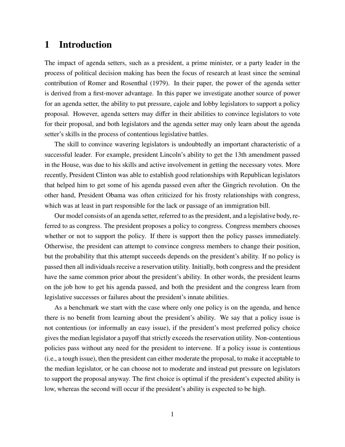## 1 Introduction

The impact of agenda setters, such as a president, a prime minister, or a party leader in the process of political decision making has been the focus of research at least since the seminal contribution of Romer and Rosenthal (1979). In their paper, the power of the agenda setter is derived from a first-mover advantage. In this paper we investigate another source of power for an agenda setter, the ability to put pressure, cajole and lobby legislators to support a policy proposal. However, agenda setters may differ in their abilities to convince legislators to vote for their proposal, and both legislators and the agenda setter may only learn about the agenda setter's skills in the process of contentious legislative battles.

The skill to convince wavering legislators is undoubtedly an important characteristic of a successful leader. For example, president Lincoln's ability to get the 13th amendment passed in the House, was due to his skills and active involvement in getting the necessary votes. More recently, President Clinton was able to establish good relationships with Republican legislators that helped him to get some of his agenda passed even after the Gingrich revolution. On the other hand, President Obama was often criticized for his frosty relationships with congress, which was at least in part responsible for the lack or passage of an immigration bill.

Our model consists of an agenda setter, referred to as the president, and a legislative body, referred to as congress. The president proposes a policy to congress. Congress members chooses whether or not to support the policy. If there is support then the policy passes immediately. Otherwise, the president can attempt to convince congress members to change their position, but the probability that this attempt succeeds depends on the president's ability. If no policy is passed then all individuals receive a reservation utility. Initially, both congress and the president have the same common prior about the president's ability. In other words, the president learns on the job how to get his agenda passed, and both the president and the congress learn from legislative successes or failures about the president's innate abilities.

As a benchmark we start with the case where only one policy is on the agenda, and hence there is no benefit from learning about the president's ability. We say that a policy issue is not contentious (or informally an easy issue), if the president's most preferred policy choice gives the median legislator a payoff that strictly exceeds the reservation utility. Non-contentious policies pass without any need for the president to intervene. If a policy issue is contentious (i.e., a tough issue), then the president can either moderate the proposal, to make it acceptable to the median legislator, or he can choose not to moderate and instead put pressure on legislators to support the proposal anyway. The first choice is optimal if the president's expected ability is low, whereas the second will occur if the president's ability is expected to be high.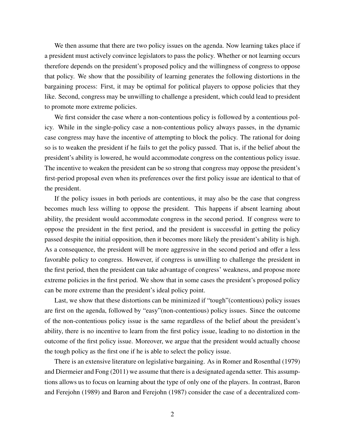We then assume that there are two policy issues on the agenda. Now learning takes place if a president must actively convince legislators to pass the policy. Whether or not learning occurs therefore depends on the president's proposed policy and the willingness of congress to oppose that policy. We show that the possibility of learning generates the following distortions in the bargaining process: First, it may be optimal for political players to oppose policies that they like. Second, congress may be unwilling to challenge a president, which could lead to president to promote more extreme policies.

We first consider the case where a non-contentious policy is followed by a contentious policy. While in the single-policy case a non-contentious policy always passes, in the dynamic case congress may have the incentive of attempting to block the policy. The rational for doing so is to weaken the president if he fails to get the policy passed. That is, if the belief about the president's ability is lowered, he would accommodate congress on the contentious policy issue. The incentive to weaken the president can be so strong that congress may oppose the president's first-period proposal even when its preferences over the first policy issue are identical to that of the president.

If the policy issues in both periods are contentious, it may also be the case that congress becomes much less willing to oppose the president. This happens if absent learning about ability, the president would accommodate congress in the second period. If congress were to oppose the president in the first period, and the president is successful in getting the policy passed despite the initial opposition, then it becomes more likely the president's ability is high. As a consequence, the president will be more aggressive in the second period and offer a less favorable policy to congress. However, if congress is unwilling to challenge the president in the first period, then the president can take advantage of congress' weakness, and propose more extreme policies in the first period. We show that in some cases the president's proposed policy can be more extreme than the president's ideal policy point.

Last, we show that these distortions can be minimized if "tough"(contentious) policy issues are first on the agenda, followed by "easy"(non-contentious) policy issues. Since the outcome of the non-contentious policy issue is the same regardless of the belief about the president's ability, there is no incentive to learn from the first policy issue, leading to no distortion in the outcome of the first policy issue. Moreover, we argue that the president would actually choose the tough policy as the first one if he is able to select the policy issue.

There is an extensive literature on legislative bargaining. As in Romer and Rosenthal (1979) and Diermeier and Fong (2011) we assume that there is a designated agenda setter. This assumptions allows us to focus on learning about the type of only one of the players. In contrast, Baron and Ferejohn (1989) and Baron and Ferejohn (1987) consider the case of a decentralized com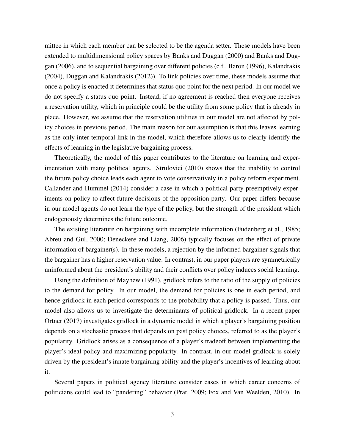mittee in which each member can be selected to be the agenda setter. These models have been extended to multidimensional policy spaces by Banks and Duggan (2000) and Banks and Duggan (2006), and to sequential bargaining over different policies (c.f., Baron (1996), Kalandrakis (2004), Duggan and Kalandrakis (2012)). To link policies over time, these models assume that once a policy is enacted it determines that status quo point for the next period. In our model we do not specify a status quo point. Instead, if no agreement is reached then everyone receives a reservation utility, which in principle could be the utility from some policy that is already in place. However, we assume that the reservation utilities in our model are not affected by policy choices in previous period. The main reason for our assumption is that this leaves learning as the only inter-temporal link in the model, which therefore allows us to clearly identify the effects of learning in the legislative bargaining process.

Theoretically, the model of this paper contributes to the literature on learning and experimentation with many political agents. Strulovici (2010) shows that the inability to control the future policy choice leads each agent to vote conservatively in a policy reform experiment. Callander and Hummel (2014) consider a case in which a political party preemptively experiments on policy to affect future decisions of the opposition party. Our paper differs because in our model agents do not learn the type of the policy, but the strength of the president which endogenously determines the future outcome.

The existing literature on bargaining with incomplete information (Fudenberg et al., 1985; Abreu and Gul, 2000; Deneckere and Liang, 2006) typically focuses on the effect of private information of bargainer(s). In these models, a rejection by the informed bargainer signals that the bargainer has a higher reservation value. In contrast, in our paper players are symmetrically uninformed about the president's ability and their conflicts over policy induces social learning.

Using the definition of Mayhew (1991), gridlock refers to the ratio of the supply of policies to the demand for policy. In our model, the demand for policies is one in each period, and hence gridlock in each period corresponds to the probability that a policy is passed. Thus, our model also allows us to investigate the determinants of political gridlock. In a recent paper Ortner (2017) investigates gridlock in a dynamic model in which a player's bargaining position depends on a stochastic process that depends on past policy choices, referred to as the player's popularity. Gridlock arises as a consequence of a player's tradeoff between implementing the player's ideal policy and maximizing popularity. In contrast, in our model gridlock is solely driven by the president's innate bargaining ability and the player's incentives of learning about it.

Several papers in political agency literature consider cases in which career concerns of politicians could lead to "pandering" behavior (Prat, 2009; Fox and Van Weelden, 2010). In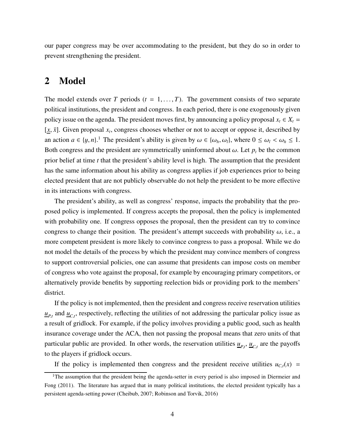our paper congress may be over accommodating to the president, but they do so in order to prevent strengthening the president.

### 2 Model

The model extends over *T* periods ( $t = 1, \ldots, T$ ). The government consists of two separate political institutions, the president and congress. In each period, there is one exogenously given policy issue on the agenda. The president moves first, by announcing a policy proposal  $x_t \in X_t$  $[x, \bar{x}]$ . Given proposal  $x_t$ , congress chooses whether or not to accept or oppose it, described by an action  $a \in \{y, n\}$ .<sup>1</sup> The president's ability is given by  $\omega \in \{\omega_h, \omega_l\}$ , where  $0 \le \omega_l < \omega_h \le 1$ . Both congress and the president are symmetrically uninformed about  $\omega$ . Let  $p_t$  be the common prior belief at time *t* that the president's ability level is high. The assumption that the president has the same information about his ability as congress applies if job experiences prior to being elected president that are not publicly observable do not help the president to be more effective in its interactions with congress.

The president's ability, as well as congress' response, impacts the probability that the proposed policy is implemented. If congress accepts the proposal, then the policy is implemented with probability one. If congress opposes the proposal, then the president can try to convince congress to change their position. The president's attempt succeeds with probability  $\omega$ , i.e., a more competent president is more likely to convince congress to pass a proposal. While we do not model the details of the process by which the president may convince members of congress to support controversial policies, one can assume that presidents can impose costs on member of congress who vote against the proposal, for example by encouraging primary competitors, or alternatively provide benefits by supporting reelection bids or providing pork to the members' district.

If the policy is not implemented, then the president and congress receive reservation utilities  $u_{P,t}$  and  $u_{C,t}$ , respectively, reflecting the utilities of not addressing the particular policy issue as a result of gridlock. For example, if the policy involves providing a public good, such as health insurance coverage under the ACA, then not passing the proposal means that zero units of that particular public are provided. In other words, the reservation utilities  $\underline{u}_{P,t}$ ,  $\underline{u}_{C,t}$  are the payoffs to the players if gridlock occurs.

If the policy is implemented then congress and the president receive utilities  $u_{C,t}(x)$  =

<sup>&</sup>lt;sup>1</sup>The assumption that the president being the agenda-setter in every period is also imposed in Diermeier and Fong (2011). The literature has argued that in many political institutions, the elected president typically has a persistent agenda-setting power (Cheibub, 2007; Robinson and Torvik, 2016)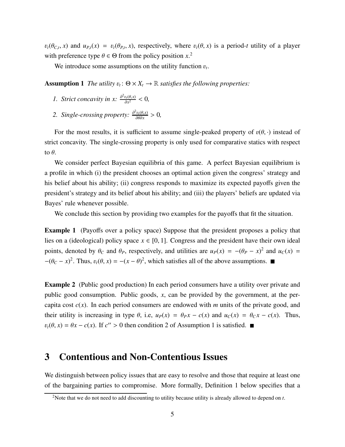$v_t(\theta_{C,t}, x)$  and  $u_{P,t}(x) = v_t(\theta_{P,t}, x)$ , respectively, where  $v_t(\theta, x)$  is a period-*t* utility of a player with preference type  $\theta \in \Theta$  from the policy position  $x$ <sup>2</sup>

We introduce some assumptions on the utility function  $v_t$ .

**Assumption 1** *The utility*  $v_t: \Theta \times X_t \to \mathbb{R}$  *satisfies the following properties:* 

- *1. Strict concavity in x:*  $\frac{\partial^2 v_t(\theta, x)}{\partial x^2}$  $\frac{\partial_t(\theta, x)}{\partial x^2} < 0$
- 2. Single-crossing property:  $\frac{\partial^2 v_t(\theta, x)}{\partial \theta \partial x}$  $\frac{\partial v_t(\theta, x)}{\partial \theta \partial x} > 0,$

For the most results, it is sufficient to assume single-peaked property of  $v(\theta, \cdot)$  instead of strict concavity. The single-crossing property is only used for comparative statics with respect to  $\theta$ .

We consider perfect Bayesian equilibria of this game. A perfect Bayesian equilibrium is a profile in which (i) the president chooses an optimal action given the congress' strategy and his belief about his ability; (ii) congress responds to maximize its expected payoffs given the president's strategy and its belief about his ability; and (iii) the players' beliefs are updated via Bayes' rule whenever possible.

We conclude this section by providing two examples for the payoffs that fit the situation.

Example 1 (Payoffs over a policy space) Suppose that the president proposes a policy that lies on a (ideological) policy space  $x \in [0, 1]$ . Congress and the president have their own ideal points, denoted by  $\theta_C$  and  $\theta_P$ , respectively, and utilities are  $u_P(x) = -(\theta_P - x)^2$  and  $u_C(x) =$  $-(\theta_C - x)^2$ . Thus,  $v_t(\theta, x) = -(x - \theta)^2$ , which satisfies all of the above assumptions.

Example 2 (Public good production) In each period consumers have a utility over private and public good consumption. Public goods, *x*, can be provided by the government, at the percapita cost  $c(x)$ . In each period consumers are endowed with *m* units of the private good, and their utility is increasing in type  $\theta$ , i.e,  $u_P(x) = \theta_P x - c(x)$  and  $u_C(x) = \theta_C x - c(x)$ . Thus,  $v_t(\theta, x) = \theta x - c(x)$ . If  $c'' > 0$  then condition 2 of Assumption 1 is satisfied.

### 3 Contentious and Non-Contentious Issues

We distinguish between policy issues that are easy to resolve and those that require at least one of the bargaining parties to compromise. More formally, Definition 1 below specifies that a

<sup>2</sup>Note that we do not need to add discounting to utility because utility is already allowed to depend on *t*.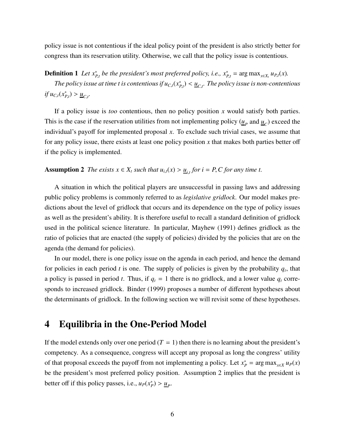policy issue is not contentious if the ideal policy point of the president is also strictly better for congress than its reservation utility. Otherwise, we call that the policy issue is contentious.

**Definition 1** Let  $x_{P,t}^*$  be the president's most preferred policy, i.e.,  $x_{P,t}^* = \arg \max_{x \in X_t} u_{P,t}(x)$ .

*The policy issue at time t is contentious if*  $u_{C,t}(x^*_{P,t}) < \underline{u}_{C,t}.$  *The policy issue is non-contentious*  $if u_{C,t}(x_{P,t}^*) > u_{C,t}.$ 

If a policy issue is *too* contentious, then no policy position *x* would satisfy both parties. This is the case if the reservation utilities from not implementing policy  $(\underline{u}_P$  and  $\underline{u}_C$ ) exceed the individual's payoff for implemented proposal *x*. To exclude such trivial cases, we assume that for any policy issue, there exists at least one policy position *x* that makes both parties better off if the policy is implemented.

## Assumption 2 *The exists*  $x \in X_t$  *such that*  $u_{i,t}(x) > u_{i,t}$  for  $i = P$ , *C* for any time t.

A situation in which the political players are unsuccessful in passing laws and addressing public policy problems is commonly referred to as *legislative gridlock*. Our model makes predictions about the level of gridlock that occurs and its dependence on the type of policy issues as well as the president's ability. It is therefore useful to recall a standard definition of gridlock used in the political science literature. In particular, Mayhew (1991) defines gridlock as the ratio of policies that are enacted (the supply of policies) divided by the policies that are on the agenda (the demand for policies).

In our model, there is one policy issue on the agenda in each period, and hence the demand for policies in each period  $t$  is one. The supply of policies is given by the probability  $q_t$ , that a policy is passed in period *t*. Thus, if  $q_t = 1$  there is no gridlock, and a lower value  $q_t$  corresponds to increased gridlock. Binder (1999) proposes a number of different hypotheses about the determinants of gridlock. In the following section we will revisit some of these hypotheses.

## 4 Equilibria in the One-Period Model

If the model extends only over one period  $(T = 1)$  then there is no learning about the president's competency. As a consequence, congress will accept any proposal as long the congress' utility of that proposal exceeds the payoff from not implementing a policy. Let  $x_p^* = \arg \max_{x \in X} u_P(x)$ be the president's most preferred policy position. Assumption 2 implies that the president is better off if this policy passes, i.e.,  $u_P(x_P^*) > \underline{u}_P$ .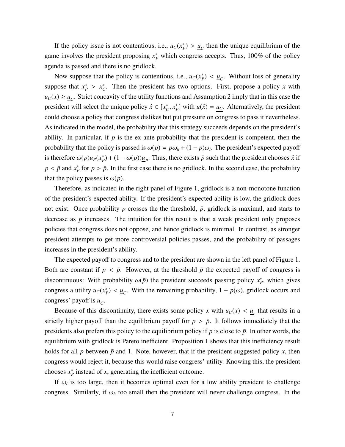If the policy issue is not contentious, i.e.,  $u_C(x_p^*) > u_C$  then the unique equilibrium of the game involves the president proposing  $x_P^*$  which congress accepts. Thus, 100% of the policy agenda is passed and there is no gridlock.

Now suppose that the policy is contentious, i.e.,  $u_C(x_P^*) < u_C$ . Without loss of generality suppose that  $x_P^* > x_C^*$ . Then the president has two options. First, propose a policy *x* with  $u_C(x) \ge \underline{u}_C$ . Strict concavity of the utility functions and Assumption 2 imply that in this case the president will select the unique policy  $\hat{x} \in [x_C^*, x_P^*]$  with  $u(\hat{x}) = \underline{u_C}$ . Alternatively, the president could choose a policy that congress dislikes but put pressure on congress to pass it nevertheless. As indicated in the model, the probability that this strategy succeeds depends on the president's ability. In particular, if *p* is the ex-ante probability that the president is competent, then the probability that the policy is passed is  $\omega(p) = p\omega_h + (1 - p)\omega_l$ . The president's expected payoff is therefore  $\omega(p)u_p(x_p^*) + (1 - \omega(p))\underline{u}_p$ . Thus, there exists  $\bar{p}$  such that the president chooses  $\hat{x}$  if  $p < \bar{p}$  and  $x^*_{p}$  for  $p > \bar{p}$ . In the first case there is no gridlock. In the second case, the probability that the policy passes is  $\omega(p)$ .

Therefore, as indicated in the right panel of Figure 1, gridlock is a non-monotone function of the president's expected ability. If the president's expected ability is low, the gridlock does not exist. Once probability *p* crosses the the threshold,  $\bar{p}$ , gridlock is maximal, and starts to decrease as *p* increases. The intuition for this result is that a weak president only proposes policies that congress does not oppose, and hence gridlock is minimal. In contrast, as stronger president attempts to get more controversial policies passes, and the probability of passages increases in the president's ability.

The expected payoff to congress and to the president are shown in the left panel of Figure 1. Both are constant if  $p < \bar{p}$ . However, at the threshold  $\bar{p}$  the expected payoff of congress is discontinuous: With probability  $\omega(\bar{p})$  the president succeeds passing policy  $x_P^*$ , which gives congress a utility  $u_C(x_p^*) < u_C$ . With the remaining probability,  $1 - p(\omega)$ , gridlock occurs and congress' payoff is <u>u</u><sub>C</sub>.

Because of this discontinuity, there exists some policy *x* with  $u_c(x) < u_c$  that results in a strictly higher payoff than the equilibrium payoff for  $p > \bar{p}$ . It follows immediately that the presidents also prefers this policy to the equilibrium policy if  $p$  is close to  $\bar{p}$ . In other words, the equilibrium with gridlock is Pareto inefficient. Proposition 1 shows that this inefficiency result holds for all  $p$  between  $\bar{p}$  and 1. Note, however, that if the president suggested policy  $x$ , then congress would reject it, because this would raise congress' utility. Knowing this, the president chooses  $x_p^*$  instead of *x*, generating the inefficient outcome.

If  $\omega_l$  is too large, then it becomes optimal even for a low ability president to challenge congress. Similarly, if  $\omega_h$  too small then the president will never challenge congress. In the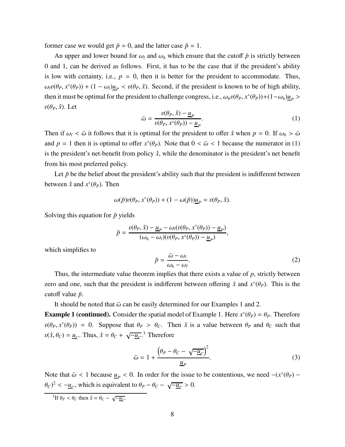former case we would get  $\bar{p} = 0$ , and the latter case  $\bar{p} = 1$ .

An upper and lower bound for  $\omega_l$  and  $\omega_h$  which ensure that the cutoff  $\bar{p}$  is strictly between 0 and 1, can be derived as follows. First, it has to be the case that if the president's ability is low with certainty, i.e.,  $p = 0$ , then it is better for the president to accommodate. Thus,  $\omega_l v(\theta_P, x^*(\theta_P)) + (1 - \omega_l) \underline{u}_P < v(\theta_P, \hat{x})$ . Second, if the president is known to be of high ability, then it must be optimal for the president to challenge congress, i.e.,  $\omega_h v(\theta_P, x^*(\theta_P)) + (1 - \omega_h) \underline{u}_P$  $v(\theta_P, \hat{x})$ . Let

$$
\bar{\omega} = \frac{v(\theta_P, \hat{x}) - \underline{u}_P}{v(\theta_P, x^*(\theta_P)) - \underline{u}_P}.\tag{1}
$$

Then if  $\omega_l < \bar{\omega}$  it follows that it is optimal for the president to offer  $\hat{x}$  when  $p = 0$ . If  $\omega_h > \bar{\omega}$ and  $p = 1$  then it is optimal to offer  $x^*(\theta_p)$ . Note that  $0 < \bar{\omega} < 1$  because the numerator in (1) is the president's net-benefit from policy  $\hat{x}$ , while the denominator is the president's net benefit from his most preferred policy.

Let  $\bar{p}$  be the belief about the president's ability such that the president is indifferent between between  $\hat{x}$  and  $x^*(\theta_P)$ . Then

$$
\omega(\bar{p})v(\theta_P, x^*(\theta_P)) + (1 - \omega(\bar{p}))\underline{u}_P = v(\theta_P, \hat{x}).
$$

Solving this equation for  $\bar{p}$  yields

$$
\bar{p} = \frac{v(\theta_P, \hat{x}) - \underline{u}_P - \omega_l(v(\theta_P, x^*(\theta_P)) - \underline{u}_P)}{(\omega_h - \omega_l)(v(\theta_P, x^*(\theta_P)) - \underline{u}_P)},
$$

which simplifies to

$$
\bar{p} = \frac{\bar{\omega} - \omega_l}{\omega_h - \omega_l}.
$$
\n(2)

Thus, the intermediate value theorem implies that there exists a value of *p*, strictly between zero and one, such that the president is indifferent between offering  $\hat{x}$  and  $x^*(\theta_P)$ . This is the cutoff value  $\bar{p}$ .

It should be noted that  $\bar{\omega}$  can be easily determined for our Examples 1 and 2.

**Example 1 (continued).** Consider the spatial model of Example 1. Here  $x^*(\theta_P) = \theta_P$ . Therefore  $v(\theta_P, x^*(\theta_P)) = 0$ . Suppose that  $\theta_P > \theta_C$ . Then  $\hat{x}$  is a value between  $\theta_P$  and  $\theta_C$  such that  $v(\hat{x}, \theta_C) = \underline{u}_C$ . Thus,  $\hat{x} = \theta_C + \sqrt{-\underline{u}_C}$ .<sup>3</sup> Therefore

$$
\bar{\omega} = 1 + \frac{\left(\theta_P - \theta_C - \sqrt{-\underline{u}_C}\right)^2}{\underline{u}_P}.\tag{3}
$$

Note that  $\bar{\omega}$  < 1 because <u> $u_p$ </u> < 0. In order for the issue to be contentious, we need  $-(x^*(\theta_P) \theta_c$ <sup>2</sup> <  $-\underline{u}_c$ , which is equivalent to  $\theta_P - \theta_C - \sqrt{-\underline{u}_c} > 0$ .

<sup>3</sup>If  $\theta_P < \theta_C$  then  $\hat{x} = \theta_C - \sqrt{\frac{u_C}{u_C}}$ .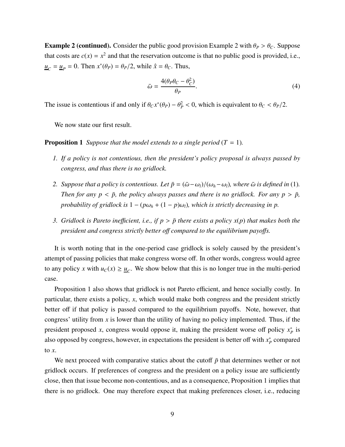**Example 2 (continued).** Consider the public good provision Example 2 with  $\theta_P > \theta_C$ . Suppose that costs are  $c(x) = x^2$  and that the reservation outcome is that no public good is provided, i.e.,  $u_C = \underline{u}_P = 0$ . Then  $x^*(\theta_P) = \theta_P/2$ , while  $\hat{x} = \theta_C$ . Thus,

$$
\bar{\omega} = \frac{4(\theta_P \theta_C - \theta_C^2)}{\theta_P}.
$$
\n(4)

The issue is contentious if and only if  $\theta_C x^*(\theta_P) - \theta_P^2 < 0$ , which is equivalent to  $\theta_C < \theta_P/2$ .

We now state our first result.

#### **Proposition 1** *Suppose that the model extends to a single period* ( $T = 1$ ).

- *1. If a policy is not contentious, then the president's policy proposal is always passed by congress, and thus there is no gridlock.*
- *2. Suppose that a policy is contentious. Let*  $\bar{p} = (\bar{\omega} \omega_l)/(\omega_h \omega_l)$ *, where*  $\bar{\omega}$  *is defined in* (1)*. Then for any*  $p < \bar{p}$ *, the policy always passes and there is no gridlock. For any*  $p > \bar{p}$ *, probability of gridlock is*  $1 - (p\omega_h + (1 - p)\omega_l)$ *, which is strictly decreasing in p.*
- *3. Gridlock is Pareto inefficient, i.e., if*  $p > \bar{p}$  *there exists a policy*  $x(p)$  *that makes both the president and congress strictly better o*ff *compared to the equilibrium payo*ff*s.*

It is worth noting that in the one-period case gridlock is solely caused by the president's attempt of passing policies that make congress worse off. In other words, congress would agree to any policy *x* with  $u_c(x) \ge \underline{u}_c$ . We show below that this is no longer true in the multi-period case.

Proposition 1 also shows that gridlock is not Pareto efficient, and hence socially costly. In particular, there exists a policy, *x*, which would make both congress and the president strictly better off if that policy is passed compared to the equilibrium payoffs. Note, however, that congress' utility from *x* is lower than the utility of having no policy implemented. Thus, if the president proposed *x*, congress would oppose it, making the president worse off policy  $x_p^*$  is also opposed by congress, however, in expectations the president is better off with  $x_P^*$  compared to *x*.

We next proceed with comparative statics about the cutoff  $\bar{p}$  that determines wether or not gridlock occurs. If preferences of congress and the president on a policy issue are sufficiently close, then that issue become non-contentious, and as a consequence, Proposition 1 implies that there is no gridlock. One may therefore expect that making preferences closer, i.e., reducing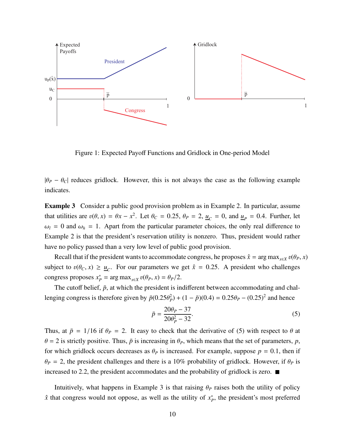

Figure 1: Expected Payoff Functions and Gridlock in One-period Model

 $|\theta_P - \theta_C|$  reduces gridlock. However, this is not always the case as the following example indicates.

**Example 3** Consider a public good provision problem as in Example 2. In particular, assume that utilities are  $v(\theta, x) = \theta x - x^2$ . Let  $\theta_C = 0.25$ ,  $\theta_P = 2$ ,  $\underline{u}_C = 0$ , and  $\underline{u}_P = 0.4$ . Further, let  $\omega_l = 0$  and  $\omega_h = 1$ . Apart from the particular parameter choices, the only real difference to Example 2 is that the president's reservation utility is nonzero. Thus, president would rather have no policy passed than a very low level of public good provision.

Recall that if the president wants to accommodate congress, he proposes  $\hat{x} = \arg \max_{x \in X} v(\theta_P, x)$ subject to  $v(\theta_C, x) \ge \underline{u}_C$ . For our parameters we get  $\hat{x} = 0.25$ . A president who challenges congress proposes  $x_p^* = \arg \max_{x \in X} v(\theta_P, x) = \theta_P/2$ .

The cutoff belief,  $\bar{p}$ , at which the president is indifferent between accommodating and challenging congress is therefore given by  $\bar{p}(0.25\theta_P^2) + (1 - \bar{p})(0.4) = 0.25\theta_P - (0.25)^2$  and hence

$$
\bar{p} = \frac{20\theta_P - 37}{20\theta_P^2 - 32}.\tag{5}
$$

Thus, at  $\bar{p} = 1/16$  if  $\theta_P = 2$ . It easy to check that the derivative of (5) with respect to  $\theta$  at  $\theta$  = 2 is strictly positive. Thus,  $\bar{p}$  is increasing in  $\theta$ *P*, which means that the set of parameters, *p*, for which gridlock occurs decreases as  $\theta_P$  is increased. For example, suppose  $p = 0.1$ , then if  $\theta_P = 2$ , the president challenges and there is a 10% probability of gridlock. However, if  $\theta_P$  is increased to 2.2, the president accommodates and the probability of gridlock is zero.  $\blacksquare$ 

Intuitively, what happens in Example 3 is that raising  $\theta_P$  raises both the utility of policy  $\hat{x}$  that congress would not oppose, as well as the utility of  $x_P^*$ , the president's most preferred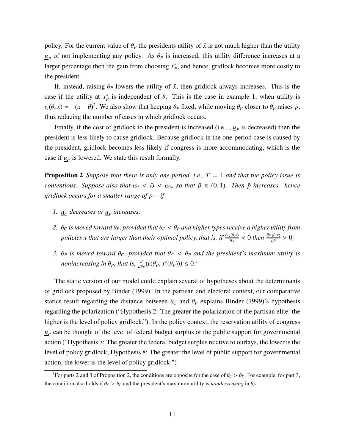policy. For the current value of  $\theta_P$  the presidents utility of  $\hat{x}$  is not much higher than the utility  $u_p$  of not implementing any policy. As  $\theta_p$  is increased, this utility difference increases at a larger percentage then the gain from choosing  $x_p^*$ , and hence, gridlock becomes more costly to the president.

If, instead, raising  $\theta_P$  lowers the utility of  $\hat{x}$ , then gridlock always increases. This is the case if the utility at  $x_P^*$  is independent of  $\theta$ . This is the case in example 1, when utility is  $v_t(\theta, x) = -(x - \theta)^2$ . We also show that keeping  $\theta_P$  fixed, while moving  $\theta_C$  closer to  $\theta_P$  raises  $\bar{p}$ , thus reducing the number of cases in which gridlock occurs.

Finally, if the cost of gridlock to the president is increased (i.e., ,  $\underline{u}_P$  is decreased) then the president is less likely to cause gridlock. Because gridlock in the one-period case is caused by the president, gridlock becomes less likely if congress is more accommodating, which is the case if  $\underline{u}_C$  is lowered. We state this result formally.

Proposition 2 *Suppose that there is only one period, i.e., T* = 1 *and that the policy issue is contentious. Suppose also that*  $\omega_l < \bar{\omega} < \omega_h$ , so that  $\bar{p} \in (0, 1)$ *. Then*  $\bar{p}$  increases—hence *gridlock occurs for a smaller range of p— if*

- *1.*  $\mathbf{u}_c$  decreases or  $\mathbf{u}_p$  increases;
- *2.*  $\theta_C$  *is moved toward*  $\theta_P$ *, provided that*  $\theta_C < \theta_P$  *and higher types receive a higher utility from policies x that are larger than their optimal policy, that is, if*  $\frac{\partial v_t(\theta,x)}{\partial x} < 0$  *then*  $\frac{\partial v_t(\theta,x)}{\partial \theta} > 0$ *;*
- *3.*  $\theta_P$  *is moved toward*  $\theta_C$ *, provided that*  $\theta_C < \theta_P$  *and the president's maximum utility is nonincreasing in*  $\theta_P$ *, that is,*  $\frac{d}{d\theta_P}(v(\theta_P, x^*(\theta_P))) \leq 0$ <sup>4</sup>

The static version of our model could explain several of hypotheses about the determinants of gridlock proposed by Binder (1999). In the partisan and electoral context, our comparative statics result regarding the distance between  $\theta_C$  and  $\theta_P$  explains Binder (1999)'s hypothesis regarding the polarization ("Hypothesis 2: The greater the polarization of the partisan elite. the higher is the level of policy gridlock."). In the policy context, the reservation utility of congress  $u_c$  can be thought of the level of federal budget surplus or the public support for governmental action ("Hypothesis 7: The greater the federal budget surplus relative to ourlays, the lower is the level of policy gridlock; Hypothesis 8: The greater the level of public support for governmental action, the lower is the level of policy gridlock.")

<sup>&</sup>lt;sup>4</sup>For parts 2 and 3 of Proposition 2, the conditions are opposite for the case of  $\theta_C > \theta_P$ ; For example, for part 3, the condition also holds if  $\theta_C > \theta_P$  and the president's maximum utility is *nondecreasing* in  $\theta_P$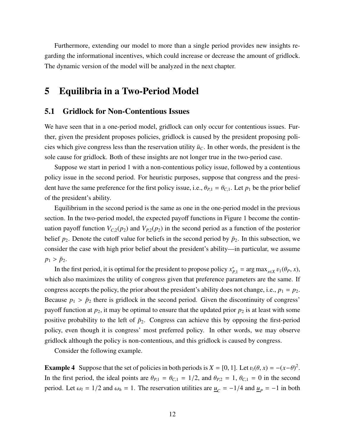Furthermore, extending our model to more than a single period provides new insights regarding the informational incentives, which could increase or decrease the amount of gridlock. The dynamic version of the model will be analyzed in the next chapter.

## 5 Equilibria in a Two-Period Model

### 5.1 Gridlock for Non-Contentious Issues

We have seen that in a one-period model, gridlock can only occur for contentious issues. Further, given the president proposes policies, gridlock is caused by the president proposing policies which give congress less than the reservation utility  $\bar{u}_C$ . In other words, the president is the sole cause for gridlock. Both of these insights are not longer true in the two-period case.

Suppose we start in period 1 with a non-contentious policy issue, followed by a contentious policy issue in the second period. For heuristic purposes, suppose that congress and the president have the same preference for the first policy issue, i.e.,  $\theta_{P,1} = \theta_{C,1}$ . Let  $p_1$  be the prior belief of the president's ability.

Equilibrium in the second period is the same as one in the one-period model in the previous section. In the two-period model, the expected payoff functions in Figure 1 become the continuation payoff function  $V_{C,2}(p_2)$  and  $V_{P,2}(p_2)$  in the second period as a function of the posterior belief  $p_2$ . Denote the cutoff value for beliefs in the second period by  $\bar{p}_2$ . In this subsection, we consider the case with high prior belief about the president's ability—in particular, we assume  $p_1 > \bar{p}_2$ .

In the first period, it is optimal for the president to propose policy  $x_{P,1}^* = \arg \max_{x \in X} v_1(\theta_P, x)$ , which also maximizes the utility of congress given that preference parameters are the same. If congress accepts the policy, the prior about the president's ability does not change, i.e.,  $p_1 = p_2$ . Because  $p_1 > \bar{p}_2$  there is gridlock in the second period. Given the discontinuity of congress' payoff function at  $p_2$ , it may be optimal to ensure that the updated prior  $p_2$  is at least with some positive probability to the left of  $\bar{p}_2$ . Congress can achieve this by opposing the first-period policy, even though it is congress' most preferred policy. In other words, we may observe gridlock although the policy is non-contentious, and this gridlock is caused by congress.

Consider the following example.

**Example 4** Suppose that the set of policies in both periods is  $X = [0, 1]$ . Let  $v_t(\theta, x) = -(x - \theta)^2$ . In the first period, the ideal points are  $\theta_{P,1} = \theta_{C,1} = 1/2$ , and  $\theta_{P,2} = 1$ ,  $\theta_{C,1} = 0$  in the second period. Let  $\omega_l = 1/2$  and  $\omega_h = 1$ . The reservation utilities are  $\underline{u}_C = -1/4$  and  $\underline{u}_P = -1$  in both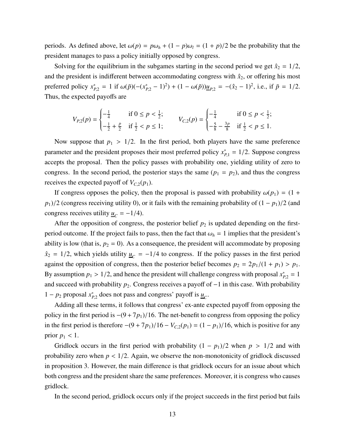periods. As defined above, let  $\omega(p) = p\omega_h + (1 - p)\omega_l = (1 + p)/2$  be the probability that the president manages to pass a policy initially opposed by congress.

Solving for the equilibrium in the subgames starting in the second period we get  $\hat{x}_2 = 1/2$ , and the president is indifferent between accommodating congress with  $\hat{x}_2$ , or offering his most preferred policy  $x_{P,2}^* = 1$  if  $\omega(\bar{p})(-(x_{P,2}^* - 1)^2) + (1 - \omega(\bar{p}))\underline{u}_{P,2} = -(\hat{x}_2 - 1)^2$ , i.e., if  $\bar{p} = 1/2$ . Thus, the expected payoffs are

$$
V_{P,2}(p) = \begin{cases} -\frac{1}{4} & \text{if } 0 \le p < \frac{1}{2}; \\ -\frac{1}{2} + \frac{p}{2} & \text{if } \frac{1}{2} < p \le 1; \end{cases} \qquad V_{C,2}(p) = \begin{cases} -\frac{1}{4} & \text{if } 0 \le p < \frac{1}{2}; \\ -\frac{5}{8} - \frac{3p}{8} & \text{if } \frac{1}{2} < p \le 1. \end{cases}
$$

Now suppose that  $p_1 > 1/2$ . In the first period, both players have the same preference parameter and the president proposes their most preferred policy  $x_{p,1}^* = 1/2$ . Suppose congress accepts the proposal. Then the policy passes with probability one, yielding utility of zero to congress. In the second period, the posterior stays the same  $(p_1 = p_2)$ , and thus the congress receives the expected payoff of  $V_{C,2}(p_1)$ .

If congress opposes the policy, then the proposal is passed with probability  $\omega(p_1) = (1 +$  $p_1$ )/2 (congress receiving utility 0), or it fails with the remaining probability of  $(1 - p_1)/2$  (and congress receives utility  $\underline{u}_C = -1/4$ .

After the opposition of congress, the posterior belief  $p_2$  is updated depending on the firstperiod outcome. If the project fails to pass, then the fact that  $\omega_h = 1$  implies that the president's ability is low (that is,  $p_2 = 0$ ). As a consequence, the president will accommodate by proposing  $\hat{x}_2 = 1/2$ , which yields utility  $\mu_C = -1/4$  to congress. If the policy passes in the first period against the opposition of congress, then the posterior belief becomes  $p_2 = 2p_1/(1 + p_1) > p_1$ . By assumption  $p_1 > 1/2$ , and hence the president will challenge congress with proposal  $x_{p,2}^* = 1$ and succeed with probability *<sup>p</sup>*2. Congress receives a payoff of <sup>−</sup>1 in this case. With probability 1 −  $p_2$  proposal  $x_{p,2}^*$  does not pass and congress' payoff is  $\underline{u}_C$ .

Adding all these terms, it follows that congress' ex-ante expected payoff from opposing the policy in the first period is <sup>−</sup>(9 <sup>+</sup>7*p*1)/16. The net-benefit to congress from opposing the policy in the first period is therefore  $-(9 + 7p_1)/16 - V_{C,2}(p_1) = (1 - p_1)/16$ , which is positive for any prior  $p_1 < 1$ .

Gridlock occurs in the first period with probability  $(1 - p_1)/2$  when  $p > 1/2$  and with probability zero when  $p < 1/2$ . Again, we observe the non-monotonicity of gridlock discussed in proposition 3. However, the main difference is that gridlock occurs for an issue about which both congress and the president share the same preferences. Moreover, it is congress who causes gridlock.

In the second period, gridlock occurs only if the project succeeds in the first period but fails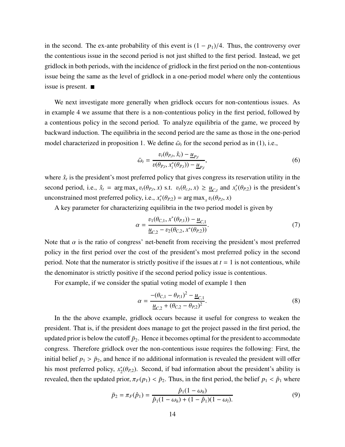in the second. The ex-ante probability of this event is  $(1 - p_1)/4$ . Thus, the controversy over the contentious issue in the second period is not just shifted to the first period. Instead, we get gridlock in both periods, with the incidence of gridlock in the first period on the non-contentious issue being the same as the level of gridlock in a one-period model where only the contentious issue is present.

We next investigate more generally when gridlock occurs for non-contentious issues. As in example 4 we assume that there is a non-contentious policy in the first period, followed by a contentious policy in the second period. To analyze equilibria of the game, we proceed by backward induction. The equilibria in the second period are the same as those in the one-period model characterized in proposition 1. We define  $\bar{\omega}_t$  for the second period as in (1), i.e.,

$$
\bar{\omega}_t = \frac{v_t(\theta_{P,t}, \hat{x}_i) - \underline{u}_{P,t}}{v(\theta_{P,t}, x_i^*(\theta_{P,t})) - \underline{u}_{P,t}},
$$
\n(6)

where  $\hat{x}_t$  is the president's most preferred policy that gives congress its reservation utility in the second period, i.e.,  $\hat{x}_t$  = arg max<sub>x</sub>  $v_t(\theta_{P,t}, x)$  s.t.  $v_t(\theta_{c,t}, x) \ge \underline{u}_{C,t}$  and  $x_t^*(\theta_{P,2})$  is the president's unconstrained most preferred policy, i.e.,  $x_t^*(\theta_{P,2}) = \arg \max_x v_t(\theta_{P,t}, x)$ 

A key parameter for characterizing equilibria in the two period model is given by

$$
\alpha = \frac{v_1(\theta_{C,1}, x^*(\theta_{P,1})) - \underline{u}_{C,1}}{\underline{u}_{C,2} - v_2(\theta_{C,2}, x^*(\theta_{P,2}))}.
$$
\n(7)

Note that  $\alpha$  is the ratio of congress' net-benefit from receiving the president's most preferred policy in the first period over the cost of the president's most preferred policy in the second period. Note that the numerator is strictly positive if the issues at  $t = 1$  is not contentious, while the denominator is strictly positive if the second period policy issue is contentious.

For example, if we consider the spatial voting model of example 1 then

$$
\alpha = \frac{-(\theta_{C,1} - \theta_{P,1})^2 - \underline{u}_{C,1}}{\underline{u}_{C,2} + (\theta_{C,2} - \theta_{P,2})^2}.
$$
\n(8)

In the the above example, gridlock occurs because it useful for congress to weaken the president. That is, if the president does manage to get the project passed in the first period, the updated prior is below the cutoff  $\bar{p}_2$ . Hence it becomes optimal for the president to accommodate congress. Therefore gridlock over the non-contentious issue requires the following: First, the initial belief  $p_1 > \bar{p}_2$ , and hence if no additional information is revealed the president will offer his most preferred policy,  $x_2^*(\theta_{P,2})$ . Second, if bad information about the president's ability is revealed, then the updated prior,  $\pi_F(p_1) < \bar{p}_2$ . Thus, in the first period, the belief  $p_1 < \hat{p}_1$  where

$$
\bar{p}_2 = \pi_F(\hat{p}_1) = \frac{\hat{p}_1(1 - \omega_h)}{\hat{p}_1(1 - \omega_h) + (1 - \hat{p}_1)(1 - \omega_l)}.
$$
\n(9)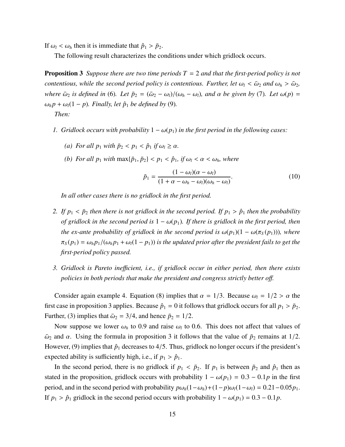If  $\omega_l < \omega_h$  then it is immediate that  $\hat{p}_1 > \bar{p}_2$ .

The following result characterizes the conditions under which gridlock occurs.

Proposition 3 *Suppose there are two time periods T* = 2 *and that the first-period policy is not contentious, while the second period policy is contentious. Further, let*  $\omega_l < \bar{\omega}_2$  and  $\omega_h > \bar{\omega}_2$ , *where*  $\bar{\omega}_2$  *is defined in* (6)*. Let*  $\bar{p}_2 = (\bar{\omega}_2 - \omega_l)/(\omega_h - \omega_l)$ *, and*  $\alpha$  *be given by* (7)*. Let*  $\omega(p)$  =  $\omega_h p + \omega_l (1 - p)$ *. Finally, let*  $\hat{p}_1$  *be defined by* (9)*.* 

*Then:*

- *1. Gridlock occurs with probability*  $1 \omega(p_1)$  *in the first period in the following cases:* 
	- *(a)* For all  $p_1$  *with*  $\bar{p}_2 < p_1 < \hat{p}_1$  *if*  $\omega_l \ge \alpha$ *.*
	- *(b)* For all  $p_1$  with  $\max{\{\bar{p}_1, \bar{p}_2\}} < p_1 < \hat{p}_1$ , if  $\omega_l < \alpha < \omega_h$ , where

$$
\bar{p}_1 = \frac{(1 - \omega_l)(\alpha - \omega_l)}{(1 + \alpha - \omega_h - \omega_l)(\omega_h - \omega_l)}.
$$
\n(10)

*In all other cases there is no gridlock in the first period.*

- 2. If  $p_1 < \bar{p}_2$  *then there is not gridlock in the second period. If*  $p_1 > \hat{p}_1$  *then the probability of gridlock in the second period is*  $1 - \omega(p_1)$ *. If there is gridlock in the first period, then the ex-ante probability of gridlock in the second period is*  $\omega(p_1)(1 - \omega(\pi_S(p_1)))$ *, where*  $\pi_S(p_1) = \omega_h p_1/(\omega_h p_1 + \omega_l(1-p_1))$  *is the updated prior after the president fails to get the first-period policy passed.*
- *3. Gridlock is Pareto ine*ffi*cient, i.e., if gridlock occur in either period, then there exists policies in both periods that make the president and congress strictly better o*ff*.*

Consider again example 4. Equation (8) implies that  $\alpha = 1/3$ . Because  $\omega_l = 1/2 > \alpha$  the first case in proposition 3 applies. Because  $\hat{p}_1 = 0$  it follows that gridlock occurs for all  $p_1 > \bar{p}_2$ . Further, (3) implies that  $\bar{\omega}_2 = 3/4$ , and hence  $\bar{p}_2 = 1/2$ .

Now suppose we lower  $\omega_h$  to 0.9 and raise  $\omega_l$  to 0.6. This does not affect that values of  $\bar{\omega}_2$  and  $\alpha$ . Using the formula in proposition 3 it follows that the value of  $\bar{p}_2$  remains at 1/2. However, (9) implies that  $\hat{p}_1$  decreases to 4/5. Thus, gridlock no longer occurs if the president's expected ability is sufficiently high, i.e., if  $p_1 > \hat{p}_1$ .

In the second period, there is no gridlock if  $p_1 < \bar{p}_2$ . If  $p_1$  is between  $\bar{p}_2$  and  $\hat{p}_1$  then as stated in the proposition, gridlock occurs with probability  $1 - \omega(p_1) = 0.3 - 0.1p$  in the first period, and in the second period with probability  $p\omega_h(1-\omega_h)+(1-p)\omega_l(1-\omega_l) = 0.21-0.05p_1$ . If  $p_1 > \hat{p}_1$  gridlock in the second period occurs with probability  $1 - \omega(p_1) = 0.3 - 0.1p$ .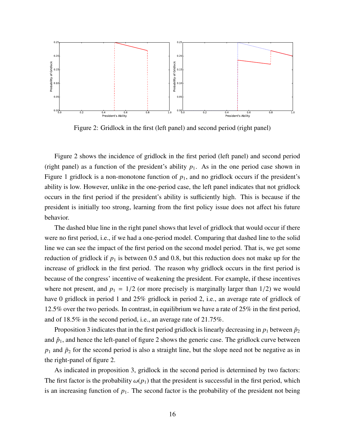

Figure 2: Gridlock in the first (left panel) and second period (right panel)

Figure 2 shows the incidence of gridlock in the first period (left panel) and second period (right panel) as a function of the president's ability  $p_1$ . As in the one period case shown in Figure 1 gridlock is a non-monotone function of  $p_1$ , and no gridlock occurs if the president's ability is low. However, unlike in the one-period case, the left panel indicates that not gridlock occurs in the first period if the president's ability is sufficiently high. This is because if the president is initially too strong, learning from the first policy issue does not affect his future behavior.

The dashed blue line in the right panel shows that level of gridlock that would occur if there were no first period, i.e., if we had a one-period model. Comparing that dashed line to the solid line we can see the impact of the first period on the second model period. That is, we get some reduction of gridlock if  $p_1$  is between 0.5 and 0.8, but this reduction does not make up for the increase of gridlock in the first period. The reason why gridlock occurs in the first period is because of the congress' incentive of weakening the president. For example, if these incentives where not present, and  $p_1 = 1/2$  (or more precisely is marginally larger than  $1/2$ ) we would have 0 gridlock in period 1 and 25% gridlock in period 2, i.e., an average rate of gridlock of 12.5% over the two periods. In contrast, in equilibrium we have a rate of 25% in the first period, and of 18.5% in the second period, i.e., an average rate of 21.75%.

Proposition 3 indicates that in the first period gridlock is linearly decreasing in  $p_1$  between  $\bar{p}_2$ and  $\hat{p}_1$ , and hence the left-panel of figure 2 shows the generic case. The gridlock curve between  $p_1$  and  $\bar{p}_2$  for the second period is also a straight line, but the slope need not be negative as in the right-panel of figure 2.

As indicated in proposition 3, gridlock in the second period is determined by two factors: The first factor is the probability  $\omega(p_1)$  that the president is successful in the first period, which is an increasing function of  $p_1$ . The second factor is the probability of the president not being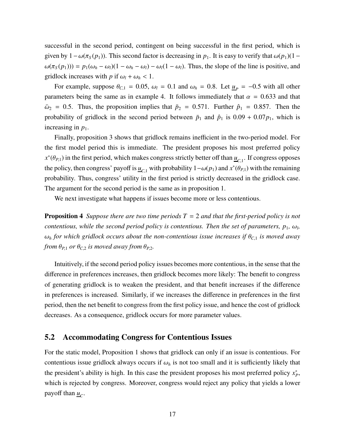successful in the second period, contingent on being successful in the first period, which is given by  $1 - \omega(\pi_S(p_1))$ . This second factor is decreasing in  $p_1$ . It is easy to verify that  $\omega(p_1)(1 \omega(\pi_S(p_1)) = p_1(\omega_h - \omega_l)(1 - \omega_h - \omega_l) - \omega_l(1 - \omega_l)$ . Thus, the slope of the line is positive, and gridlock increases with *p* if  $\omega_l + \omega_h < 1$ .

For example, suppose  $\theta_{C,1} = 0.05$ ,  $\omega_l = 0.1$  and  $\omega_h = 0.8$ . Let  $\underline{u}_P = -0.5$  with all other parameters being the same as in example 4. It follows immediately that  $\alpha = 0.633$  and that  $\bar{\omega}_2$  = 0.5. Thus, the proposition implies that  $\bar{p}_2$  = 0.571. Further  $\hat{p}_1$  = 0.857. Then the probability of gridlock in the second period between  $\bar{p}_1$  and  $\hat{p}_1$  is  $0.09 + 0.07p_1$ , which is increasing in  $p_1$ .

Finally, proposition 3 shows that gridlock remains inefficient in the two-period model. For the first model period this is immediate. The president proposes his most preferred policy  $x^*(\theta_{P,1})$  in the first period, which makes congress strictly better off than  $\underline{u}_{C,1}$ . If congress opposes the policy, then congress' payoff is  $\underline{u}_{C,1}$  with probability  $1-\omega(p_1)$  and  $x^*(\theta_{P,1})$  with the remaining probability. Thus, congress' utility in the first period is strictly decreased in the gridlock case. The argument for the second period is the same as in proposition 1.

We next investigate what happens if issues become more or less contentious.

Proposition 4 *Suppose there are two time periods T* = 2 *and that the first-period policy is not contentious, while the second period policy is contentious. Then the set of parameters,*  $p_1$ *,*  $\omega_b$ *,*  $\omega_h$  *for which gridlock occurs about the non-contentious issue increases if*  $\theta_{C,1}$  *is moved away from*  $\theta_{P,1}$  *or*  $\theta_{C,2}$  *is moved away from*  $\theta_{P,2}$ *.* 

Intuitively, if the second period policy issues becomes more contentious, in the sense that the difference in preferences increases, then gridlock becomes more likely: The benefit to congress of generating gridlock is to weaken the president, and that benefit increases if the difference in preferences is increased. Similarly, if we increases the difference in preferences in the first period, then the net benefit to congress from the first policy issue, and hence the cost of gridlock decreases. As a consequence, gridlock occurs for more parameter values.

### 5.2 Accommodating Congress for Contentious Issues

For the static model, Proposition 1 shows that gridlock can only if an issue is contentious. For contentious issue gridlock always occurs if  $\omega_h$  is not too small and it is sufficiently likely that the president's ability is high. In this case the president proposes his most preferred policy  $x_p^*$ , which is rejected by congress. Moreover, congress would reject any policy that yields a lower payoff than  $\underline{u}_C$ .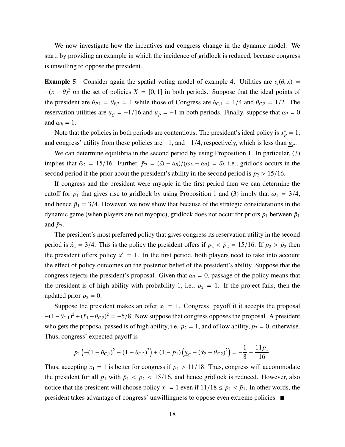We now investigate how the incentives and congress change in the dynamic model. We start, by providing an example in which the incidence of gridlock is reduced, because congress is unwilling to oppose the president.

**Example 5** Consider again the spatial voting model of example 4. Utilities are  $v_t(\theta, x)$  =  $-(x - \theta)^2$  on the set of policies  $X = [0, 1]$  in both periods. Suppose that the ideal points of the president are  $\theta_{P,1} = \theta_{P,2} = 1$  while those of Congress are  $\theta_{C,1} = 1/4$  and  $\theta_{C,2} = 1/2$ . The reservation utilities are  $\underline{u}_C = -1/16$  and  $\underline{u}_P = -1$  in both periods. Finally, suppose that  $\omega_l = 0$ and  $\omega_h = 1$ .

Note that the policies in both periods are contentious: The president's ideal policy is  $x_p^* = 1$ , and congress' utility from these policies are  $-1$ , and  $-1/4$ , respectively, which is less than  $\underline{u}_C$ .

We can determine equilibria in the second period by using Proposition 1. In particular, (3) implies that  $\bar{\omega}_2 = 15/16$ . Further,  $\bar{p}_2 = (\bar{\omega} - \omega_l)/(\omega_h - \omega_l) = \bar{\omega}$ , i.e., gridlock occurs in the second period if the prior about the president's ability in the second period is  $p_2 > 15/16$ .

If congress and the president were myopic in the first period then we can determine the cutoff for  $p_1$  that gives rise to gridlock by using Proposition 1 and (3) imply that  $\bar{\omega}_1 = 3/4$ , and hence  $\bar{p}_1 = 3/4$ . However, we now show that because of the strategic considerations in the dynamic game (when players are not myopic), gridlock does not occur for priors  $p_1$  between  $\bar{p}_1$ and  $\bar{p}_2$ .

The president's most preferred policy that gives congress its reservation utility in the second period is  $\hat{x}_2 = 3/4$ . This is the policy the president offers if  $p_2 < \bar{p}_2 = 15/16$ . If  $p_2 > \bar{p}_2$  then the president offers policy  $x^* = 1$ . In the first period, both players need to take into account the effect of policy outcomes on the posterior belief of the president's ability. Suppose that the congress rejects the president's proposal. Given that  $\omega_l = 0$ , passage of the policy means that the president is of high ability with probability 1, i.e.,  $p_2 = 1$ . If the project fails, then the updated prior  $p_2 = 0$ .

Suppose the president makes an offer  $x_1 = 1$ . Congress' payoff it it accepts the proposal  $-(1 - \theta_{C,1})^2 + (\hat{x}_1 - \theta_{C,2})^2 = -5/8$ . Now suppose that congress opposes the proposal. A president who gets the proposal passed is of high ability, i.e.  $p_2 = 1$ , and of low ability,  $p_2 = 0$ , otherwise. Thus, congress' expected payoff is

$$
p_1\left(-(1-\theta_{C,1})^2-(1-\theta_{C,2})^2\right)+(1-p_1)\left(\underline{u}_C-(\hat{x}_2-\theta_{C,2})^2\right)=-\frac{1}{8}-\frac{11p_1}{16}.
$$

Thus, accepting  $x_1 = 1$  is better for congress if  $p_1 > 11/18$ . Thus, congress will accommodate the president for all  $p_1$  with  $\bar{p}_1 < p_2 < 15/16$ , and hence gridlock is reduced. However, also notice that the president will choose policy  $x_1 = 1$  even if  $11/18 \le p_1 < \bar{p}_1$ . In other words, the president takes advantage of congress' unwillingness to oppose even extreme policies.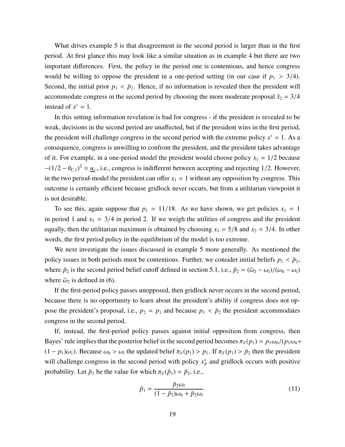What drives example 5 is that disagreement in the second period is larger than in the first period. At first glance this may look like a similar situation as in example 4 but there are two important differences. First, the policy in the period one is contentious, and hence congress would be willing to oppose the president in a one-period setting (in our case if  $p_1 > 3/4$ ). Second, the initial prior  $p_1 < \bar{p}_2$ . Hence, if no information is revealed then the president will accommodate congress in the second period by choosing the more moderate proposal  $\hat{x}_2 = 3/4$ instead of  $x^* = 1$ .

In this setting information revelation is bad for congress - if the president is revealed to be weak, decisions in the second period are unaffected, but if the president wins in the first period, the president will challenge congress in the second period with the extreme policy  $x^* = 1$ . As a consequence, congress is unwilling to confront the president, and the president takes advantage of it. For example, in a one-period model the president would choose policy  $x_1 = 1/2$  because  $-(1/2 - \theta_{C,1})^2 = \underline{u}_C$ , i.e., congress is indifferent between accepting and rejecting 1/2. However, in the two period-model the president can offer  $x_1 = 1$  without any opposition by congress. This outcome is certainly efficient because gridlock never occurs, but from a utilitarian viewpoint it is not desirable.

To see this, again suppose that  $p_1 = 11/18$ . As we have shown, we get policies  $x_1 = 1$ in period 1 and  $x_2 = 3/4$  in period 2. If we weigh the utilities of congress and the president equally, then the utilitarian maximum is obtained by choosing  $x_1 = 5/8$  and  $x_2 = 3/4$ . In other words, the first period policy in the equilibrium of the model is too extreme.

We next investigate the issues discussed in example 5 more generally. As mentioned the policy issues in both periods must be contentious. Further, we consider initial beliefs  $p_1 < \bar{p}_2$ , where  $\bar{p}_2$  is the second period belief cutoff defined in section 5.1, i.e.,  $\bar{p}_2 = (\bar{\omega}_2 - \omega_l)/(\omega_h - \omega_l)$ where  $\bar{\omega}_2$  is defined in (6).

If the first-period policy passes unopposed, then gridlock never occurs in the second period, because there is no opportunity to learn about the president's ability if congress does not oppose the president's proposal, i.e.,  $p_2 = p_1$  and because  $p_1 < \bar{p}_2$  the president accommodates congress in the second period.

If, instead, the first-period policy passes against initial opposition from congress, then Bayes' rule implies that the posterior belief in the second period becomes  $\pi_S(p_1) = p_1 \omega_h/(p_1 \omega_h + p_2 \omega_h)$  $(1 - p_1)\omega_1$ ). Because  $\omega_h > \omega_l$  the updated belief  $\pi_S(p_1) > p_1$ . If  $\pi_S(p_1) > \bar{p}_2$  then the president will challenge congress in the second period with policy  $x_P^*$  and gridlock occurs with positive probability. Let  $\tilde{p}_1$  be the value for which  $\pi_S(\tilde{p}_1) = \bar{p}_2$ , i.e.,

$$
\tilde{p}_1 = \frac{\bar{p}_2 \omega_l}{(1 - \bar{p}_2)\omega_h + \bar{p}_2 \omega_l}.
$$
\n(11)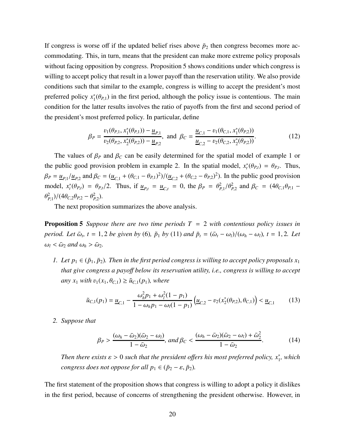If congress is worse off if the updated belief rises above  $\bar{p}_2$  then congress becomes more accommodating. This, in turn, means that the president can make more extreme policy proposals without facing opposition by congress. Proposition 5 shows conditions under which congress is willing to accept policy that result in a lower payoff than the reservation utility. We also provide conditions such that similar to the example, congress is willing to accept the president's most preferred policy  $x_1^*(\theta_{P,1})$  in the first period, although the policy issue is contentious. The main condition for the latter results involves the ratio of payoffs from the first and second period of the president's most preferred policy. In particular, define

$$
\beta_P = \frac{v_1(\theta_{P,1}, x_1^*(\theta_{P,1})) - \underline{u}_{P,1}}{v_2(\theta_{P,2}, x_2^*(\theta_{P,2})) - \underline{u}_{P,2}}, \text{ and } \beta_C = \frac{\underline{u}_{C,1} - v_1(\theta_{C,1}, x_1^*(\theta_{P,2}))}{\underline{u}_{C,2} - v_2(\theta_{C,2}, x_2^*(\theta_{P,2}))}.
$$
(12)

The values of  $\beta_P$  and  $\beta_C$  can be easily determined for the spatial model of example 1 or the public good provision problem in example 2. In the spatial model,  $x_t^*(\theta_{P,t}) = \theta_{P,t}$ . Thus,  $\beta_P = \underline{u}_{P,1}/\underline{u}_{P,2}$  and  $\beta_C = (\underline{u}_{C,1} + (\theta_{C,1} - \theta_{P,1})^2)/(\underline{u}_{C,2} + (\theta_{C,2} - \theta_{P,2})^2)$ . In the public good provision model,  $x_t^*(\theta_{P,t}) = \theta_{P,t}/2$ . Thus, if  $\underline{u}_{P,t} = \underline{u}_{C,t} = 0$ , the  $\beta_P = \theta_{P,1}^2/\theta_{P,2}^2$  and  $\beta_C = (4\theta_{C,1}\theta_{P,1} \theta_{P,1}^2$ )/(4 $\theta_{C,2}\theta_{P,2} - \theta_{P,2}^2$ ).

The next proposition summarizes the above analysis.

Proposition 5 *Suppose there are two time periods T* = 2 *with contentious policy issues in period. Let*  $\bar{\omega}_t$ ,  $t = 1, 2$  *be given by* (6),  $\tilde{p}_1$  *by* (11) *and*  $\bar{p}_t = (\bar{\omega}_t - \omega_l)/(\omega_h - \omega_l)$ ,  $t = 1, 2$ . Let  $\omega_l < \bar{\omega}_2$  and  $\omega_h > \bar{\omega}_2$ .

*1. Let*  $p_1 \in (\tilde{p}_1, \tilde{p}_2)$ *. Then in the first period congress is willing to accept policy proposals*  $x_1$ *that give congress a payo*ff *below its reservation utility, i.e., congress is willing to accept*  $\langle \textit{any } x_1 \textit{ with } v_1(x_1, \theta_{C,1}) \geq \tilde{u}_{C,1}(p_1), \textit{ where } v_1(x_1, \theta_{C,1}) \geq \tilde{u}_{C,1}(p_1)$ 

$$
\tilde{u}_{C,1}(p_1) = \underline{u}_{C,1} - \frac{\omega_h^2 p_1 + \omega_l^2 (1 - p_1)}{1 - \omega_h p_1 - \omega_l (1 - p_1)} \left( \underline{u}_{C,2} - v_2(x_2^*(\theta_{P,2}), \theta_{C,1}) \right) < \underline{u}_{C,1} \tag{13}
$$

*2. Suppose that*

$$
\beta_P > \frac{(\omega_h - \bar{\omega}_2)(\bar{\omega}_2 - \omega_l)}{1 - \bar{\omega}_2}, \text{ and } \beta_C < \frac{(\omega_h - \bar{\omega}_2)(\bar{\omega}_2 - \omega_l) + \bar{\omega}_2^2}{1 - \bar{\omega}_2}.
$$
 (14)

*Then there exists*  $\varepsilon > 0$  such that the president offers his most preferred policy,  $x_1^*$ , which *congress does not oppose for all*  $p_1 \in (\bar{p}_2 - \varepsilon, \bar{p}_2)$ *.* 

The first statement of the proposition shows that congress is willing to adopt a policy it dislikes in the first period, because of concerns of strengthening the president otherwise. However, in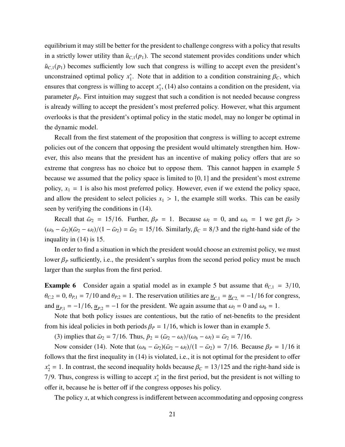equilibrium it may still be better for the president to challenge congress with a policy that results in a strictly lower utility than  $\tilde{u}_{C,1}(p_1)$ . The second statement provides conditions under which  $\tilde{u}_{C,1}(p_1)$  becomes sufficiently low such that congress is willing to accept even the president's unconstrained optimal policy  $x_1^*$ . Note that in addition to a condition constraining  $\beta_C$ , which ensures that congress is willing to accept  $x_1^*$ , (14) also contains a condition on the president, via parameter  $\beta_P$ . First intuition may suggest that such a condition is not needed because congress is already willing to accept the president's most preferred policy. However, what this argument overlooks is that the president's optimal policy in the static model, may no longer be optimal in the dynamic model.

Recall from the first statement of the proposition that congress is willing to accept extreme policies out of the concern that opposing the president would ultimately strengthen him. However, this also means that the president has an incentive of making policy offers that are so extreme that congress has no choice but to oppose them. This cannot happen in example 5 because we assumed that the policy space is limited to [0, 1] and the president's most extreme policy,  $x_1 = 1$  is also his most preferred policy. However, even if we extend the policy space, and allow the president to select policies  $x_1 > 1$ , the example still works. This can be easily seen by verifying the conditions in (14).

Recall that  $\bar{\omega}_2 = 15/16$ . Further,  $\beta_P = 1$ . Because  $\omega_l = 0$ , and  $\omega_h = 1$  we get  $\beta_P >$  $(\omega_h - \bar{\omega}_2)(\bar{\omega}_2 - \omega_l)/(1 - \bar{\omega}_2) = \bar{\omega}_2 = 15/16$ . Similarly,  $\beta_c = 8/3$  and the right-hand side of the inquality in (14) is 15.

In order to find a situation in which the president would choose an extremist policy, we must lower  $\beta_P$  sufficiently, i.e., the president's surplus from the second period policy must be much larger than the surplus from the first period.

**Example 6** Consider again a spatial model as in example 5 but assume that  $\theta_{C,1} = 3/10$ ,  $\theta_{C,2} = 0$ ,  $\theta_{P,1} = 7/10$  and  $\theta_{P,2} = 1$ . The reservation utilities are  $\underline{u}_{C,1} = \underline{u}_{C,2} = -1/16$  for congress, and  $\underline{u}_{P,1} = -1/16$ ,  $\underline{u}_{P,2} = -1$  for the president. We again assume that  $\omega_l = 0$  and  $\omega_h = 1$ .

Note that both policy issues are contentious, but the ratio of net-benefits to the president from his ideal policies in both periods  $\beta_P = 1/16$ , which is lower than in example 5.

(3) implies that  $\bar{\omega}_2 = 7/16$ . Thus,  $\bar{p}_2 = (\bar{\omega}_2 - \omega_l)/(\omega_h - \omega_l) = \bar{\omega}_2 = 7/16$ .

Now consider (14). Note that  $(\omega_h - \bar{\omega}_2)(\bar{\omega}_2 - \omega_l)/(1 - \bar{\omega}_2) = \frac{7}{16}$ . Because  $\beta_P = \frac{1}{16}$  it follows that the first inequality in (14) is violated, i.e., it is not optimal for the president to offer  $x_2^* = 1$ . In contrast, the second inequality holds because  $\beta_C = 13/125$  and the right-hand side is 7/9. Thus, congress is willing to accept  $x_1^*$  in the first period, but the president is not willing to offer it, because he is better off if the congress opposes his policy.

The policy *x*, at which congress is indifferent between accommodating and opposing congress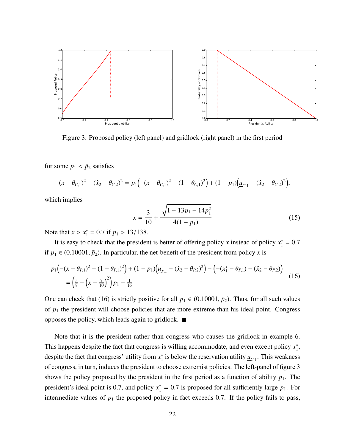

Figure 3: Proposed policy (left panel) and gridlock (right panel) in the first period

for some  $p_1 < \bar{p}_2$  satisfies

$$
-(x - \theta_{C,1})^2 - (\hat{x}_2 - \theta_{C,2})^2 = p_1 \Big( -(x - \theta_{C,1})^2 - (1 - \theta_{C,1})^2 \Big) + (1 - p_1) \Big( \underline{u}_{C,1} - (\hat{x}_2 - \theta_{C,2})^2 \Big),
$$

which implies

$$
x = \frac{3}{10} + \frac{\sqrt{1 + 13p_1 - 14p_1^2}}{4(1 - p_1)}
$$
(15)

Note that  $x > x_1^* = 0.7$  if  $p_1 > 13/138$ .

It is easy to check that the president is better of offering policy *x* instead of policy  $x_1^* = 0.7$ if  $p_1 \in (0.10001, \bar{p}_2)$ . In particular, the net-benefit of the president from policy *x* is

$$
p_1\left(-(x-\theta_{P,1})^2 - (1-\theta_{P,1})^2\right) + (1-p_1)\left(\underline{u}_{P,1} - (\hat{x}_2 - \theta_{P,2})^2\right) - \left(-(x_1^* - \theta_{P,1}) - (\hat{x}_2 - \theta_{P,2})\right)
$$
  
=  $\left(\frac{5}{8} - \left(x - \frac{7}{10}\right)^2\right)p_1 - \frac{1}{16}$  (16)

One can check that (16) is strictly positive for all  $p_1 \in (0.10001, \bar{p}_2)$ . Thus, for all such values of  $p_1$  the president will choose policies that are more extreme than his ideal point. Congress opposes the policy, which leads again to gridlock.  $\blacksquare$ 

Note that it is the president rather than congress who causes the gridlock in example 6. This happens despite the fact that congress is willing accommodate, and even except policy  $x_1^*$ , despite the fact that congress' utility from  $x_1^*$  is below the reservation utility  $\underline{u}_{C,1}$ . This weakness of congress, in turn, induces the president to choose extremist policies. The left-panel of figure 3 shows the policy proposed by the president in the first period as a function of ability  $p_1$ . The president's ideal point is 0.7, and policy  $x_1^* = 0.7$  is proposed for all sufficiently large  $p_1$ . For intermediate values of  $p_1$  the proposed policy in fact exceeds 0.7. If the policy fails to pass,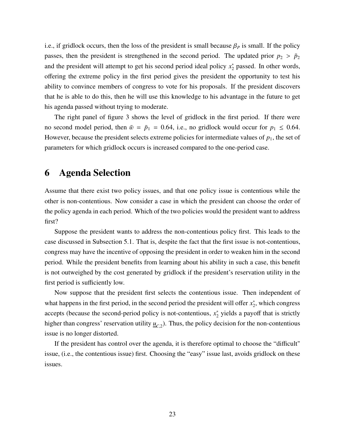i.e., if gridlock occurs, then the loss of the president is small because  $\beta_P$  is small. If the policy passes, then the president is strengthened in the second period. The updated prior  $p_2 > \bar{p}_2$ and the president will attempt to get his second period ideal policy  $x_2^*$  passed. In other words, offering the extreme policy in the first period gives the president the opportunity to test his ability to convince members of congress to vote for his proposals. If the president discovers that he is able to do this, then he will use this knowledge to his advantage in the future to get his agenda passed without trying to moderate.

The right panel of figure 3 shows the level of gridlock in the first period. If there were no second model period, then  $\bar{w} = \bar{p}_1 = 0.64$ , i.e., no gridlock would occur for  $p_1 \le 0.64$ . However, because the president selects extreme policies for intermediate values of  $p_1$ , the set of parameters for which gridlock occurs is increased compared to the one-period case.

## 6 Agenda Selection

Assume that there exist two policy issues, and that one policy issue is contentious while the other is non-contentious. Now consider a case in which the president can choose the order of the policy agenda in each period. Which of the two policies would the president want to address first?

Suppose the president wants to address the non-contentious policy first. This leads to the case discussed in Subsection 5.1. That is, despite the fact that the first issue is not-contentious, congress may have the incentive of opposing the president in order to weaken him in the second period. While the president benefits from learning about his ability in such a case, this benefit is not outweighed by the cost generated by gridlock if the president's reservation utility in the first period is sufficiently low.

Now suppose that the president first selects the contentious issue. Then independent of what happens in the first period, in the second period the president will offer  $x_2^*$ , which congress accepts (because the second-period policy is not-contentious,  $x_2^*$  yields a payoff that is strictly higher than congress' reservation utility  $\underline{u}_{C,2}$ ). Thus, the policy decision for the non-contentious issue is no longer distorted.

If the president has control over the agenda, it is therefore optimal to choose the "difficult" issue, (i.e., the contentious issue) first. Choosing the "easy" issue last, avoids gridlock on these issues.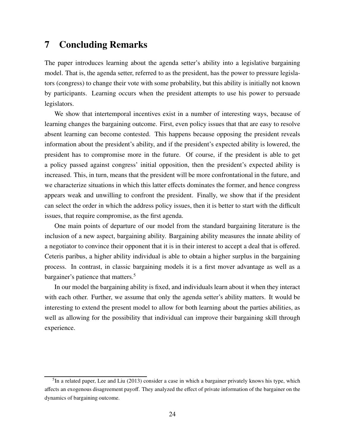### 7 Concluding Remarks

The paper introduces learning about the agenda setter's ability into a legislative bargaining model. That is, the agenda setter, referred to as the president, has the power to pressure legislators (congress) to change their vote with some probability, but this ability is initially not known by participants. Learning occurs when the president attempts to use his power to persuade legislators.

We show that intertemporal incentives exist in a number of interesting ways, because of learning changes the bargaining outcome. First, even policy issues that that are easy to resolve absent learning can become contested. This happens because opposing the president reveals information about the president's ability, and if the president's expected ability is lowered, the president has to compromise more in the future. Of course, if the president is able to get a policy passed against congress' initial opposition, then the president's expected ability is increased. This, in turn, means that the president will be more confrontational in the future, and we characterize situations in which this latter effects dominates the former, and hence congress appears weak and unwilling to confront the president. Finally, we show that if the president can select the order in which the address policy issues, then it is better to start with the difficult issues, that require compromise, as the first agenda.

One main points of departure of our model from the standard bargaining literature is the inclusion of a new aspect, bargaining ability. Bargaining ability measures the innate ability of a negotiator to convince their opponent that it is in their interest to accept a deal that is offered. Ceteris paribus, a higher ability individual is able to obtain a higher surplus in the bargaining process. In contrast, in classic bargaining models it is a first mover advantage as well as a bargainer's patience that matters.<sup>5</sup>

In our model the bargaining ability is fixed, and individuals learn about it when they interact with each other. Further, we assume that only the agenda setter's ability matters. It would be interesting to extend the present model to allow for both learning about the parties abilities, as well as allowing for the possibility that individual can improve their bargaining skill through experience.

<sup>&</sup>lt;sup>5</sup>In a related paper, Lee and Liu (2013) consider a case in which a bargainer privately knows his type, which affects an exogenous disagreement payoff. They analyzed the effect of private information of the bargainer on the dynamics of bargaining outcome.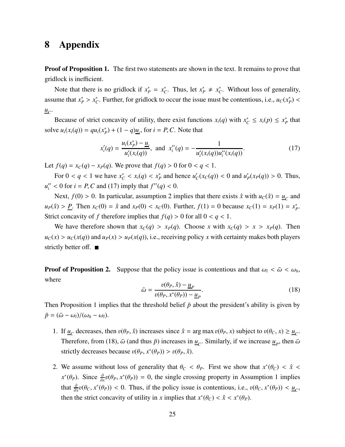## 8 Appendix

**Proof of Proposition 1.** The first two statements are shown in the text. It remains to prove that gridlock is inefficient.

Note that there is no gridlock if  $x_p^* = x_c^*$ . Thus, let  $x_p^* \neq x_c^*$ . Without loss of generality, assume that  $x_P^* > x_C^*$ . Further, for gridlock to occur the issue must be contentious, i.e.,  $u_C(x_P^*)$ *uC* .

Because of strict concavity of utility, there exist functions  $x_i(q)$  with  $x_c^* \le x_i(p) \le x_p^*$  that solve  $u_i(x_i(q)) = qu_i(x_p^*) + (1 - q)\underline{u}_i$ , for  $i = P, C$ . Note that

$$
x'_{i}(q) = \frac{u_{i}(x_{p}^{*}) - \underline{u}_{i}}{u'_{i}(x_{i}(q))}, \text{ and } x''_{i}(q) = -\frac{1}{u'_{i}(x_{i}(q))u''_{i}(x_{i}(q))}.
$$
 (17)

Let *f*(*q*) = *x*<sup>*C*</sup>(*q*) − *x*<sup>*p*</sup>(*q*). We prove that *f*(*q*) > 0 for 0 < *q* < 1.

For  $0 < q < 1$  we have  $x_C^* < x_i(q) < x_P^*$  and hence  $u_C'(x_C(q)) < 0$  and  $u_P'(x_P(q)) > 0$ . Thus,  $u''_i < 0$  for  $i = P, C$  and (17) imply that  $f''(q) < 0$ .

Next,  $f(0) > 0$ . In particular, assumption 2 implies that there exists  $\hat{x}$  with  $u_c(\hat{x}) = \underline{u}_c$  and  $u_P(\hat{x}) > P$ . Then  $x_C(0) = \hat{x}$  and  $x_P(0) < x_C(0)$ . Further,  $f(1) = 0$  because  $x_C(1) = x_P(1) = x_P^*$ . Strict concavity of *f* therefore implies that  $f(q) > 0$  for all  $0 < q < 1$ .

We have therefore shown that  $x_C(q) > x_P(q)$ . Choose *x* with  $x_C(q) > x > x_P(q)$ . Then  $u_c(x) > u_c(x(q))$  and  $u_p(x) > u_p(x(q))$ , i.e., receiving policy *x* with certainty makes both players strictly better off.  $\blacksquare$ 

**Proof of Proposition 2.** Suppose that the policy issue is contentious and that  $\omega_l < \bar{\omega} < \omega_h$ , where

$$
\bar{\omega} = \frac{v(\theta_P, \hat{x}) - \underline{u}_P}{v(\theta_P, x^*(\theta_P)) - \underline{u}_P}.
$$
\n(18)

Then Proposition 1 implies that the threshold belief  $\bar{p}$  about the president's ability is given by  $\bar{p} = (\bar{\omega} - \omega_l)/(\omega_h - \omega_l).$ 

- 1. If  $\underline{u}_C$  decreases, then  $v(\theta_P, \hat{x})$  increases since  $\hat{x} = \arg \max v(\theta_P, x)$  subject to  $v(\theta_C, x) \ge \underline{u}_C$ . Therefore, from (18),  $\bar{\omega}$  (and thus  $\bar{p}$ ) increases in  $\underline{u}_C$ . Similarly, if we increase  $\underline{u}_P$ , then  $\bar{\omega}$ strictly decreases because  $v(\theta_P, x^*(\theta_P)) > v(\theta_P, \hat{x})$ .
- 2. We assume without loss of generality that  $\theta_C < \theta_P$ . First we show that  $x^*(\theta_C) < \hat{x} <$  $x^*(\theta_P)$ . Since  $\frac{\partial}{\partial x}v(\theta_P, x^*(\theta_P)) = 0$ , the single crossing property in Assumption 1 implies that  $\frac{\partial}{\partial x}v(\theta_C, x^*(\theta_P)) < 0$ . Thus, if the policy issue is contentious, i.e.,  $v(\theta_C, x^*(\theta_P)) < u_C$ , then the strict concavity of utility in *x* implies that  $x^*(\theta_C) < \hat{x} < x^*(\theta_P)$ .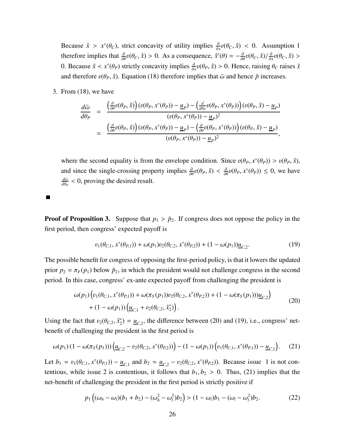Because  $\hat{x} > x^*(\theta_C)$ , strict concavity of utility implies  $\frac{\partial}{\partial x}v(\theta_C, \hat{x}) < 0$ . Assumption 1 therefore implies that  $\frac{\partial}{\partial \theta} v(\theta_C, \hat{x}) > 0$ . As a consequence,  $\hat{x}'(\theta) = -\frac{\partial}{\partial \theta} v(\theta_C, \hat{x}) / \frac{\partial}{\partial \theta} v(\theta_C, \hat{x})$  $\frac{\partial}{\partial x}v(\theta_C, \hat{x}) >$ 0. Because  $\hat{x} < x^*(\theta_P)$  strictly concavity implies  $\frac{\partial}{\partial x}v(\theta_P, \hat{x}) > 0$ . Hence, raising  $\theta_C$  raises  $\hat{x}$ and therefore  $v(\theta_P, \hat{x})$ . Equation (18) therefore implies that  $\bar{\omega}$  and hence  $\bar{p}$  increases.

3. From (18), we have

$$
\frac{d\bar{\omega}}{d\theta_P} = \frac{\left(\frac{\partial}{\partial\theta}v(\theta_P,\hat{x})\right)(v(\theta_P,x^*(\theta_P)) - \underline{u}_P) - \left(\frac{d}{d\theta_P}v(\theta_P,x^*(\theta_P))\right)(v(\theta_P,\hat{x}) - \underline{u}_P)}{(v(\theta_P,x^*(\theta_P)) - \underline{u}_P)^2} \n= \frac{\left(\frac{\partial}{\partial\theta}v(\theta_P,\hat{x})\right)(v(\theta_P,x^*(\theta_P)) - \underline{u}_P) - \left(\frac{\partial}{\partial\theta}v(\theta_P,x^*(\theta_P))\right)(v(\theta_P,\hat{x}) - \underline{u}_P)}{(v(\theta_P,x^*(\theta_P)) - \underline{u}_P)^2},
$$

where the second equality is from the envelope condition. Since  $v(\theta_P, x^*(\theta_P)) > v(\theta_P, \hat{x})$ , and since the single-crossing property implies  $\frac{\partial}{\partial \theta}v(\theta_P, \hat{x}) < \frac{\partial}{\partial \theta}v(\theta_P, x^*(\theta_P)) \le 0$ , we have *d*ω¯  $\frac{d\bar{\omega}}{d\theta_P}$  < 0, proving the desired result.

I.

**Proof of Proposition 3.** Suppose that  $p_1 > \bar{p}_2$ . If congress does not oppose the policy in the first period, then congress' expected payoff is

$$
v_1(\theta_{C,1}, x^*(\theta_{P,1})) + \omega(p_1)v_2(\theta_{C,2}, x^*(\theta_{P,2})) + (1 - \omega(p_1))\underline{u}_{C,2}.
$$
 (19)

The possible benefit for congress of opposing the first-period policy, is that it lowers the updated prior  $p_2 = \pi_F(p_1)$  below  $\bar{p}_2$ , in which the president would not challenge congress in the second period. In this case, congress' ex-ante expected payoff from challenging the president is

$$
\omega(p_1) \Big( v_1(\theta_{C,1}, x^*(\theta_{P,1})) + \omega(\pi_S(p_1)) v_2(\theta_{C,2}, x^*(\theta_{P,2})) + (1 - \omega(\pi_S(p_1))) \underline{u}_{C,2} \Big) + (1 - \omega(p_1)) \Big( \underline{u}_{C,1} + v_2(\theta_{C,2}, \hat{x}_2^*) \Big).
$$
\n(20)

Using the fact that  $v_2(\theta_{C,2}, \hat{x}_2^*) = \underline{u}_{C,2}$ , the difference between (20) and (19), i.e., congress' netbenefit of challenging the president in the first period is

$$
\omega(p_1)(1-\omega(\pi_S(p_1)))\left(\underline{u}_{C,2}-v_2(\theta_{C,2},x^*(\theta_{P,2}))\right)-(1-\omega(p_1))\left(v_1(\theta_{C,1},x^*(\theta_{P,1}))-\underline{u}_{C,1}\right). (21)
$$

Let  $b_1 = v_1(\theta_{C,1}, x^*(\theta_{P,1})) - \underline{u}_{C,1}$  and  $b_2 = \underline{u}_{C,2} - v_2(\theta_{C,2}, x^*(\theta_{P,2}))$ . Because issue 1 is not contentious, while issue 2 is contentious, it follows that  $b_1, b_2 > 0$ . Thus, (21) implies that the net-benefit of challenging the president in the first period is strictly positive if

$$
p_1((\omega_h - \omega_l)(b_1 + b_2) - (\omega_h^2 - \omega_l^2)b_2) > (1 - \omega_l)b_1 - (\omega_l - \omega_l^2)b_2.
$$
 (22)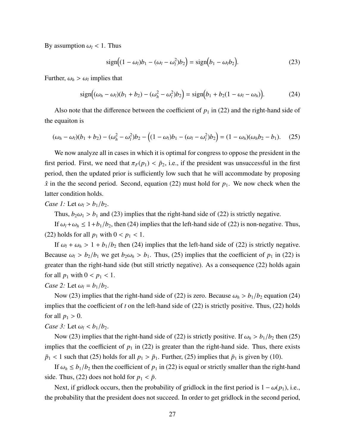By assumption  $\omega_l$  < 1. Thus

$$
\text{sign}\left((1-\omega_l)b_1-(\omega_l-\omega_l^2)b_2\right)=\text{sign}\left(b_1-\omega_l b_2\right).
$$
 (23)

Further,  $\omega_h > \omega_l$  implies that

$$
\text{sign}\big((\omega_h - \omega_l)(b_1 + b_2) - (\omega_h^2 - \omega_l^2)b_2\big) = \text{sign}\big(b_1 + b_2(1 - \omega_l - \omega_h)\big). \tag{24}
$$

Also note that the difference between the coefficient of  $p_1$  in (22) and the right-hand side of the equaiton is

$$
(\omega_h - \omega_l)(b_1 + b_2) - (\omega_h^2 - \omega_l^2)b_2 - ((1 - \omega_l)b_1 - (\omega_l - \omega_l^2)b_2) = (1 - \omega_h)(\omega_h b_2 - b_1). \quad (25)
$$

We now analyze all in cases in which it is optimal for congress to oppose the president in the first period. First, we need that  $\pi_F(p_1) < \bar{p}_2$ , i.e., if the president was unsuccessful in the first period, then the updated prior is sufficiently low such that he will accommodate by proposing  $\hat{x}$  in the the second period. Second, equation (22) must hold for  $p_1$ . We now check when the latter condition holds.

*Case 1:* Let  $\omega_l > b_1/b_2$ .

Thus,  $b_2\omega_1 > b_1$  and (23) implies that the right-hand side of (22) is strictly negative.

If  $\omega_l + \omega_h \leq 1 + b_1/b_2$ , then (24) implies that the left-hand side of (22) is non-negative. Thus, (22) holds for all  $p_1$  with  $0 < p_1 < 1$ .

If  $\omega_l + \omega_h > 1 + b_1/b_2$  then (24) implies that the left-hand side of (22) is strictly negative. Because  $\omega_l > b_2/b_1$  we get  $b_2 \omega_h > b_1$ . Thus, (25) implies that the coefficient of  $p_1$  in (22) is greater than the right-hand side (but still strictly negative). As a consequence (22) holds again for all  $p_1$  with  $0 < p_1 < 1$ .

*Case 2:* Let  $\omega_l = b_1/b_2$ .

Now (23) implies that the right-hand side of (22) is zero. Because  $\omega_h > b_1/b_2$  equation (24) implies that the coefficient of *t* on the left-hand side of (22) is strictly positive. Thus, (22) holds for all  $p_1 > 0$ .

*Case 3:* Let  $\omega_l < b_1/b_2$ .

Now (23) implies that the right-hand side of (22) is strictly positive. If  $\omega_h > b_1/b_2$  then (25) implies that the coefficient of  $p_1$  in (22) is greater than the right-hand side. Thus, there exists  $\bar{p}_1$  < 1 such that (25) holds for all  $p_1 > \bar{p}_1$ . Further, (25) implies that  $\bar{p}_1$  is given by (10).

If  $\omega_h \leq b_1/b_2$  then the coefficient of  $p_1$  in (22) is equal or strictly smaller than the right-hand side. Thus, (22) does not hold for  $p_1 < \bar{p}$ .

Next, if gridlock occurs, then the probability of gridlock in the first period is  $1 - \omega(p_1)$ , i.e., the probability that the president does not succeed. In order to get gridlock in the second period,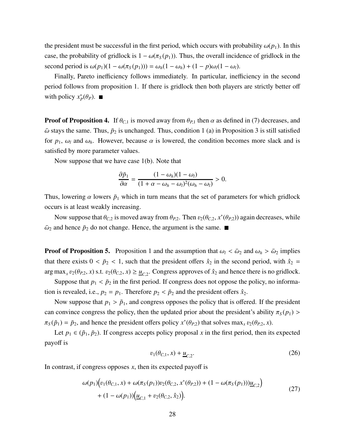the president must be successful in the first period, which occurs with probability  $\omega(p_1)$ . In this case, the probability of gridlock is  $1 - \omega(\pi_S(p_1))$ . Thus, the overall incidence of gridlock in the second period is  $\omega(p_1)(1 - \omega(\pi_S(p_1))) = \omega_h(1 - \omega_h) + (1 - p)\omega_l(1 - \omega_l)$ .

Finally, Pareto inefficiency follows immediately. In particular, inefficiency in the second period follows from proposition 1. If there is gridlock then both players are strictly better off with policy  $x_P^*(\theta_P)$ .

**Proof of Proposition 4.** If  $\theta_{C,1}$  is moved away from  $\theta_{P,1}$  then  $\alpha$  as defined in (7) decreases, and  $\bar{\omega}$  stays the same. Thus,  $\bar{p}_2$  is unchanged. Thus, condition 1 (a) in Proposition 3 is still satisfied for  $p_1$ ,  $\omega_l$  and  $\omega_h$ . However, because  $\alpha$  is lowered, the condition becomes more slack and is satisfied by more parameter values.

Now suppose that we have case 1(b). Note that

$$
\frac{\partial \bar{p}_1}{\partial \alpha} = \frac{(1 - \omega_h)(1 - \omega_l)}{(1 + \alpha - \omega_h - \omega_l)^2(\omega_h - \omega_l)} > 0.
$$

Thus, lowering  $\alpha$  lowers  $\bar{p}_1$  which in turn means that the set of parameters for which gridlock occurs is at least weakly increasing.

Now suppose that  $\theta_{C,2}$  is moved away from  $\theta_{P,2}$ . Then  $v_2(\theta_{C,2}, x^*(\theta_{P,2}))$  again decreases, while  $\bar{\omega}_2$  and hence  $\bar{p}_2$  do not change. Hence, the argument is the same.

**Proof of Proposition 5.** Proposition 1 and the assumption that  $\omega_l < \bar{\omega}_2$  and  $\omega_h > \bar{\omega}_2$  implies that there exists  $0 < \bar{p}_2 < 1$ , such that the president offers  $\hat{x}_2$  in the second period, with  $\hat{x}_2$  =  $\arg \max_{x} v_2(\theta_{P,2}, x)$  s.t.  $v_2(\theta_{C,2}, x) \ge \underline{u}_{C,2}$ . Congress approves of  $\hat{x}_2$  and hence there is no gridlock.

Suppose that  $p_1 < \bar{p}_2$  in the first period. If congress does not oppose the policy, no information is revealed, i.e.,  $p_2 = p_1$ . Therefore  $p_2 < \bar{p}_2$  and the president offers  $\hat{x}_2$ .

Now suppose that  $p_1 > \tilde{p}_1$ , and congress opposes the policy that is offered. If the president can convince congress the policy, then the updated prior about the president's ability  $\pi_S(p_1)$  $\pi_S(\tilde{p}_1) = \bar{p}_2$ , and hence the president offers policy  $x^*(\theta_{P,2})$  that solves max<sub>*x*</sub>  $v_2(\theta_{P,2}, x)$ .

Let  $p_1 \in (\tilde{p}_1, \tilde{p}_2)$ . If congress accepts policy proposal *x* in the first period, then its expected payoff is

$$
v_1(\theta_{C,1}, x) + \underline{u}_{C,2}.\tag{26}
$$

In contrast, if congress opposes *x*, then its expected payoff is

$$
\omega(p_1) \Big( v_1(\theta_{C,1}, x) + \omega(\pi_S(p_1)) v_2(\theta_{C,2}, x^*(\theta_{P,2})) + (1 - \omega(\pi_S(p_1))) \underline{u}_{C,2} \Big) + (1 - \omega(p_1)) \Big( \underline{u}_{C,1} + v_2(\theta_{C,2}, \hat{x}_2) \Big).
$$
\n(27)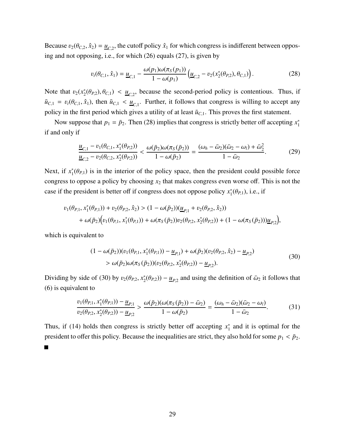Because  $v_2(\theta_{C,2}, \hat{x}_2) = \underline{u}_{C,2}$ , the cutoff policy  $\hat{x}_1$  for which congress is indifferent between opposing and not opposing, i.e., for which (26) equals (27), is given by

$$
v_t(\theta_{C,1}, \hat{x}_1) = \underline{u}_{C,1} - \frac{\omega(p_1)\omega(\pi_S(p_1))}{1 - \omega(p_1)} \left( \underline{u}_{C,2} - v_2(x_2^*(\theta_{P,2}), \theta_{C,1}) \right). \tag{28}
$$

Note that  $v_2(x_2^*(\theta_{P,2}), \theta_{C,1}) < u_{C,2}$ , because the second-period policy is contentious. Thus, if  $\tilde{u}_{C,1} = v_t(\theta_{C,1}, \hat{x}_1)$ , then  $\tilde{u}_{C,1} < u_{C,1}$ . Further, it follows that congress is willing to accept any policy in the first period which gives a utility of at least  $\tilde{u}_{C,1}$ . This proves the first statement.

Now suppose that  $p_1 = \bar{p}_2$ . Then (28) implies that congress is strictly better off accepting  $x_1^*$ if and only if

$$
\frac{u_{C,1} - v_1(\theta_{C,1}, x_1^*(\theta_{P,2}))}{u_{C,2} - v_2(\theta_{C,2}, x_2^*(\theta_{P,2}))} < \frac{\omega(\bar{p}_2)\omega(\pi_S(\bar{p}_2))}{1 - \omega(\bar{p}_2)} = \frac{(\omega_h - \bar{\omega}_2)(\bar{\omega}_2 - \omega_l) + \bar{\omega}_2^2}{1 - \bar{\omega}_2}.
$$
(29)

Next, if  $x_1^*(\theta_{P,1})$  is in the interior of the policy space, then the president could possible force congress to oppose a policy by choosing *x*<sup>2</sup> that makes congress even worse off. This is not the case if the president is better off if congress does not oppose policy  $x_1^*(\theta_{P,1})$ , i.e., if

$$
\begin{aligned} v_1(\theta_{P,1},x_1^*(\theta_{P,1}))+v_2(\theta_{P,2},\hat{x}_2) &> (1-\omega(\bar{p}_2))(\underline{u}_{P,1}+v_2(\theta_{P,2},\hat{x}_2)) \\ &+\omega(\bar{p}_2)\Big(v_1(\theta_{P,1},x_1^*(\theta_{P,1}))+\omega(\pi_S(\bar{p}_2))v_2(\theta_{P,2},x_2^*(\theta_{P,2}))+ (1-\omega(\pi_S(\bar{p}_2)))\underline{u}_{P,2}\Big), \end{aligned}
$$

which is equivalent to

$$
(1 - \omega(\bar{p}_2))(v_1(\theta_{P,1}, x_1^*(\theta_{P,1})) - \underline{u}_{P,1}) + \omega(\bar{p}_2)(v_2(\theta_{P,2}, \hat{x}_2) - \underline{u}_{P,2})
$$
  
> 
$$
\omega(\bar{p}_2)\omega(\pi_S(\bar{p}_2))(v_2(\theta_{P,2}, x_2^*(\theta_{P,2})) - \underline{u}_{P,2}).
$$
 (30)

Dividing by side of (30) by  $v_2(\theta_{P,2}, x_2^*(\theta_{P,2})) - \underline{u}_{P,2}$  and using the definition of  $\bar{\omega}_2$  it follows that (6) is equivalent to

$$
\frac{v_1(\theta_{P,1}, x_1^*(\theta_{P,1})) - \underline{u}_{P,1}}{v_2(\theta_{P,2}, x_2^*(\theta_{P,2})) - \underline{u}_{P,2}} > \frac{\omega(\bar{p}_2)(\omega(\pi_S(\bar{p}_2)) - \bar{\omega}_2)}{1 - \omega(\bar{p}_2)} = \frac{(\omega_h - \bar{\omega}_2)(\bar{\omega}_2 - \omega_l)}{1 - \bar{\omega}_2}.
$$
(31)

Thus, if (14) holds then congress is strictly better off accepting  $x_1^*$  and it is optimal for the president to offer this policy. Because the inequalities are strict, they also hold for some  $p_1 < \bar{p}_2$ .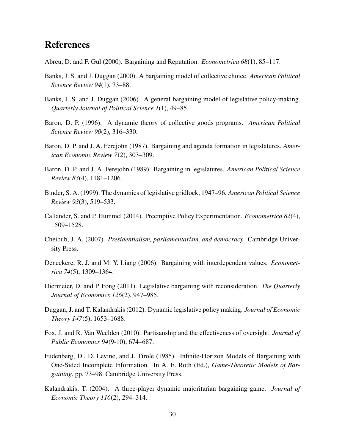## References

Abreu, D. and F. Gul (2000). Bargaining and Reputation. *Econometrica 68*(1), 85–117.

- Banks, J. S. and J. Duggan (2000). A bargaining model of collective choice. *American Political Science Review 94*(1), 73–88.
- Banks, J. S. and J. Duggan (2006). A general bargaining model of legislative policy-making. *Quarterly Journal of Political Science 1*(1), 49–85.
- Baron, D. P. (1996). A dynamic theory of collective goods programs. *American Political Science Review 90*(2), 316–330.
- Baron, D. P. and J. A. Ferejohn (1987). Bargaining and agenda formation in legislatures. *American Economic Review 7*(2), 303–309.
- Baron, D. P. and J. A. Ferejohn (1989). Bargaining in legislatures. *American Political Science Review 83*(4), 1181–1206.
- Binder, S. A. (1999). The dynamics of legislative gridlock, 1947–96. *American Political Science Review 93*(3), 519–533.
- Callander, S. and P. Hummel (2014). Preemptive Policy Experimentation. *Econometrica 82*(4), 1509–1528.
- Cheibub, J. A. (2007). *Presidentialism, parliamentarism, and democracy*. Cambridge University Press.
- Deneckere, R. J. and M. Y. Liang (2006). Bargaining with interdependent values. *Econometrica 74*(5), 1309–1364.
- Diermeier, D. and P. Fong (2011). Legislative bargaining with reconsideration. *The Quarterly Journal of Economics 126*(2), 947–985.
- Duggan, J. and T. Kalandrakis (2012). Dynamic legislative policy making. *Journal of Economic Theory 147*(5), 1653–1688.
- Fox, J. and R. Van Weelden (2010). Partisanship and the effectiveness of oversight. *Journal of Public Economics 94*(9-10), 674–687.
- Fudenberg, D., D. Levine, and J. Tirole (1985). Infinite-Horizon Models of Bargaining with One-Sided Incomplete Information. In A. E. Roth (Ed.), *Game-Theoretic Models of Bargaining*, pp. 73–98. Cambridge University Press.
- Kalandrakis, T. (2004). A three-player dynamic majoritarian bargaining game. *Journal of Economic Theory 116*(2), 294–314.